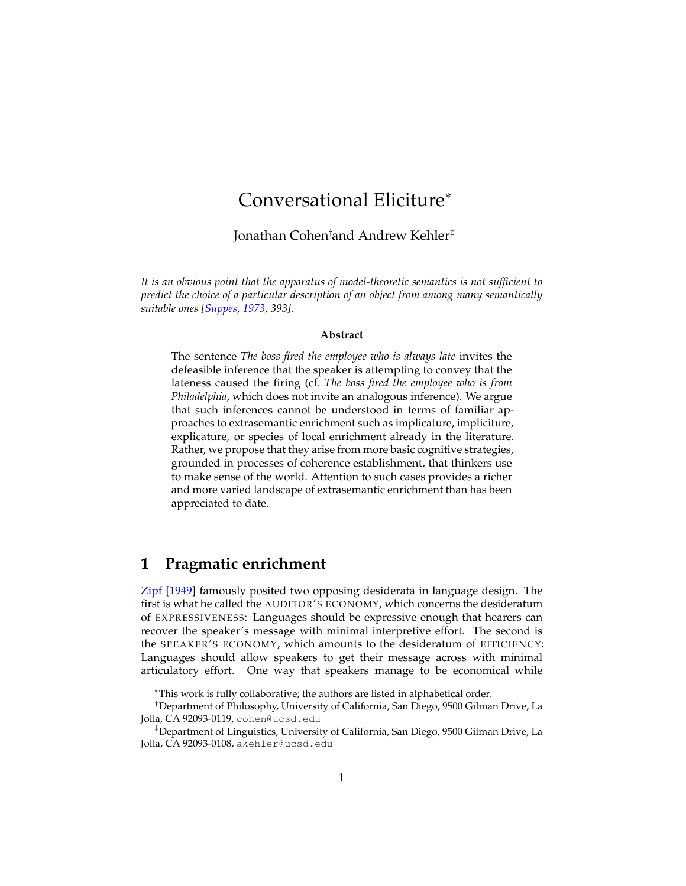# Conversational Eliciture<sup>∗</sup>

Jonathan Cohen†and Andrew Kehler‡

*It is an obvious point that the apparatus of model-theoretic semantics is not sufficient to predict the choice of a particular description of an object from among many semantically suitable ones [\[Suppes,](#page-35-0) [1973,](#page-35-0) 393].*

#### **Abstract**

The sentence *The boss fired the employee who is always late* invites the defeasible inference that the speaker is attempting to convey that the lateness caused the firing (cf. *The boss fired the employee who is from Philadelphia*, which does not invite an analogous inference). We argue that such inferences cannot be understood in terms of familiar approaches to extrasemantic enrichment such as implicature, impliciture, explicature, or species of local enrichment already in the literature. Rather, we propose that they arise from more basic cognitive strategies, grounded in processes of coherence establishment, that thinkers use to make sense of the world. Attention to such cases provides a richer and more varied landscape of extrasemantic enrichment than has been appreciated to date.

### <span id="page-0-0"></span>**1 Pragmatic enrichment**

[Zipf](#page-35-1) [\[1949\]](#page-35-1) famously posited two opposing desiderata in language design. The first is what he called the AUD ITOR'S ECONOMY, which concerns the desideratum of EXPRESSIVENESS: Languages should be expressive enough that hearers can recover the speaker's message with minimal interpretive effort. The second is the SPEAKER'S ECONOMY, which amounts to the desideratum of EFFICIENCY: Languages should allow speakers to get their message across with minimal articulatory effort. One way that speakers manage to be economical while

<sup>∗</sup>This work is fully collaborative; the authors are listed in alphabetical order.

<sup>†</sup>Department of Philosophy, University of California, San Diego, 9500 Gilman Drive, La Jolla, CA 92093-0119, cohen@ucsd.edu

<sup>‡</sup>Department of Linguistics, University of California, San Diego, 9500 Gilman Drive, La Jolla, CA 92093-0108, akehler@ucsd.edu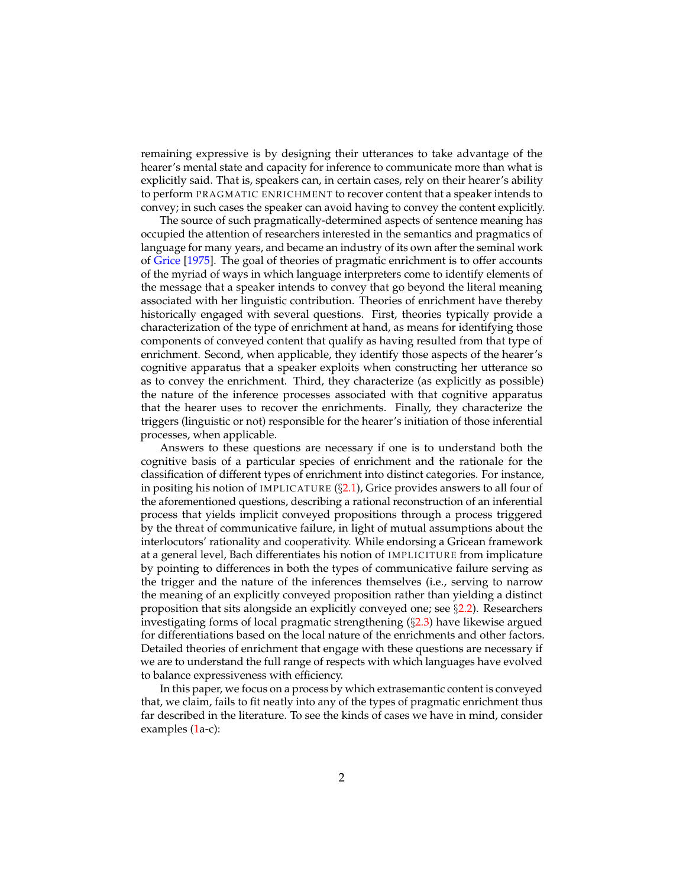remaining expressive is by designing their utterances to take advantage of the hearer's mental state and capacity for inference to communicate more than what is explicitly said. That is, speakers can, in certain cases, rely on their hearer's ability to perform PRAGMATIC ENRICHMENT to recover content that a speaker intends to convey; in such cases the speaker can avoid having to convey the content explicitly.

The source of such pragmatically-determined aspects of sentence meaning has occupied the attention of researchers interested in the semantics and pragmatics of language for many years, and became an industry of its own after the seminal work of [Grice](#page-33-0) [\[1975\]](#page-33-0). The goal of theories of pragmatic enrichment is to offer accounts of the myriad of ways in which language interpreters come to identify elements of the message that a speaker intends to convey that go beyond the literal meaning associated with her linguistic contribution. Theories of enrichment have thereby historically engaged with several questions. First, theories typically provide a characterization of the type of enrichment at hand, as means for identifying those components of conveyed content that qualify as having resulted from that type of enrichment. Second, when applicable, they identify those aspects of the hearer's cognitive apparatus that a speaker exploits when constructing her utterance so as to convey the enrichment. Third, they characterize (as explicitly as possible) the nature of the inference processes associated with that cognitive apparatus that the hearer uses to recover the enrichments. Finally, they characterize the triggers (linguistic or not) responsible for the hearer's initiation of those inferential processes, when applicable.

Answers to these questions are necessary if one is to understand both the cognitive basis of a particular species of enrichment and the rationale for the classification of different types of enrichment into distinct categories. For instance, in positing his notion of IMPLICATURE  $(\S$ [2.1\)](#page-4-0), Grice provides answers to all four of the aforementioned questions, describing a rational reconstruction of an inferential process that yields implicit conveyed propositions through a process triggered by the threat of communicative failure, in light of mutual assumptions about the interlocutors' rationality and cooperativity. While endorsing a Gricean framework at a general level, Bach differentiates his notion of IMPL IC ITURE from implicature by pointing to differences in both the types of communicative failure serving as the trigger and the nature of the inferences themselves (i.e., serving to narrow the meaning of an explicitly conveyed proposition rather than yielding a distinct proposition that sits alongside an explicitly conveyed one; see  $\S$ [2.2\)](#page-11-0). Researchers investigating forms of local pragmatic strengthening (§[2.3\)](#page-12-0) have likewise argued for differentiations based on the local nature of the enrichments and other factors. Detailed theories of enrichment that engage with these questions are necessary if we are to understand the full range of respects with which languages have evolved to balance expressiveness with efficiency.

<span id="page-1-0"></span>In this paper, we focus on a process by which extrasemantic content is conveyed that, we claim, fails to fit neatly into any of the types of pragmatic enrichment thus far described in the literature. To see the kinds of cases we have in mind, consider examples [\(1a](#page-1-0)-c):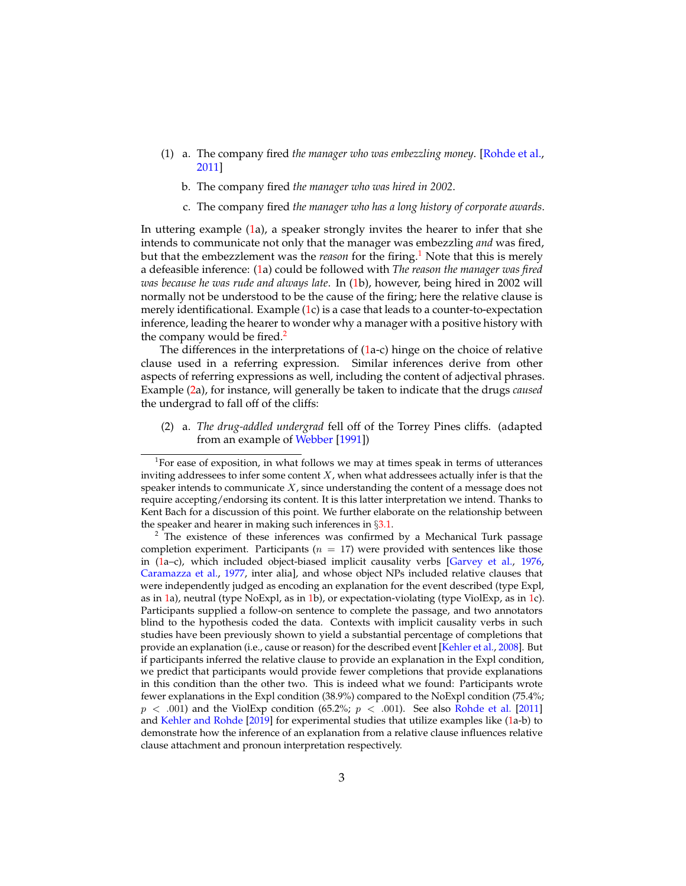- (1) a. The company fired *the manager who was embezzling money*. [\[Rohde et al.,](#page-34-0) [2011\]](#page-34-0)
	- b. The company fired *the manager who was hired in 2002*.
	- c. The company fired *the manager who has a long history of corporate awards*.

In uttering example [\(1a](#page-1-0)), a speaker strongly invites the hearer to infer that she intends to communicate not only that the manager was embezzling *and* was fired, but that the embezzlement was the *reason* for the firing.<sup>[1](#page-2-0)</sup> Note that this is merely a defeasible inference: [\(1a](#page-1-0)) could be followed with *The reason the manager was fired was because he was rude and always late*. In [\(1b](#page-1-0)), however, being hired in 2002 will normally not be understood to be the cause of the firing; here the relative clause is merely identificational. Example [\(1c](#page-1-0)) is a case that leads to a counter-to-expectation inference, leading the hearer to wonder why a manager with a positive history with the company would be fired. $<sup>2</sup>$  $<sup>2</sup>$  $<sup>2</sup>$ </sup>

The differences in the interpretations of [\(1a](#page-1-0)-c) hinge on the choice of relative clause used in a referring expression. Similar inferences derive from other aspects of referring expressions as well, including the content of adjectival phrases. Example [\(2a](#page-2-2)), for instance, will generally be taken to indicate that the drugs *caused* the undergrad to fall off of the cliffs:

<span id="page-2-2"></span>(2) a. *The drug-addled undergrad* fell off of the Torrey Pines cliffs. (adapted from an example of [Webber](#page-35-2) [\[1991\]](#page-35-2))

<span id="page-2-0"></span> $1$ For ease of exposition, in what follows we may at times speak in terms of utterances inviting addressees to infer some content  $X$ , when what addressees actually infer is that the speaker intends to communicate  $X$ , since understanding the content of a message does not require accepting/endorsing its content. It is this latter interpretation we intend. Thanks to Kent Bach for a discussion of this point. We further elaborate on the relationship between the speaker and hearer in making such inferences in  $\S 3.1$ .

<span id="page-2-1"></span><sup>&</sup>lt;sup>2</sup> The existence of these inferences was confirmed by a Mechanical Turk passage completion experiment. Participants ( $n = 17$ ) were provided with sentences like those in [\(1a](#page-1-0)–c), which included object-biased implicit causality verbs [\[Garvey et al.,](#page-32-0) [1976,](#page-32-0) [Caramazza et al.,](#page-32-1) [1977,](#page-32-1) inter alia], and whose object NPs included relative clauses that were independently judged as encoding an explanation for the event described (type Expl, as in [1a](#page-1-0)), neutral (type NoExpl, as in [1b](#page-1-0)), or expectation-violating (type ViolExp, as in [1c](#page-1-0)). Participants supplied a follow-on sentence to complete the passage, and two annotators blind to the hypothesis coded the data. Contexts with implicit causality verbs in such studies have been previously shown to yield a substantial percentage of completions that provide an explanation (i.e., cause or reason) for the described event [\[Kehler et al.,](#page-33-1) [2008\]](#page-33-1). But if participants inferred the relative clause to provide an explanation in the Expl condition, we predict that participants would provide fewer completions that provide explanations in this condition than the other two. This is indeed what we found: Participants wrote fewer explanations in the Expl condition (38.9%) compared to the NoExpl condition (75.4%;  $p < .001$ ) and the ViolExp condition (65.2%;  $p < .001$ ). See also [Rohde et al.](#page-34-0) [\[2011\]](#page-34-0) and [Kehler and Rohde](#page-33-2) [\[2019\]](#page-33-2) for experimental studies that utilize examples like [\(1a](#page-1-0)-b) to demonstrate how the inference of an explanation from a relative clause influences relative clause attachment and pronoun interpretation respectively.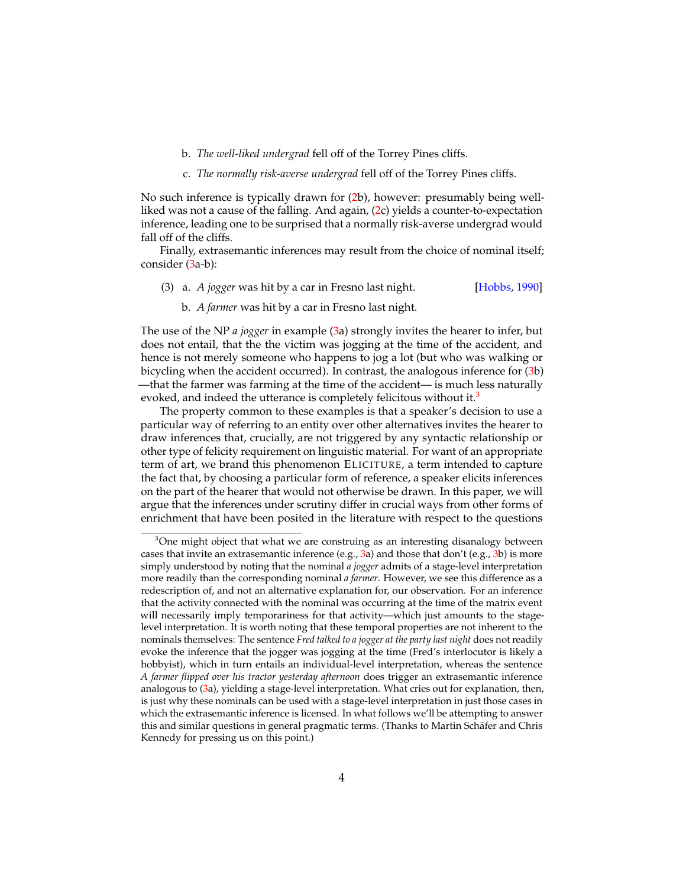- b. *The well-liked undergrad* fell off of the Torrey Pines cliffs.
- c. *The normally risk-averse undergrad* fell off of the Torrey Pines cliffs.

No such inference is typically drawn for [\(2b](#page-2-2)), however: presumably being wellliked was not a cause of the falling. And again, [\(2c](#page-2-2)) yields a counter-to-expectation inference, leading one to be surprised that a normally risk-averse undergrad would fall off of the cliffs.

Finally, extrasemantic inferences may result from the choice of nominal itself; consider [\(3a](#page-3-0)-b):

- <span id="page-3-0"></span>(3) a. *A jogger* was hit by a car in Fresno last night. [\[Hobbs,](#page-33-3) [1990\]](#page-33-3)
	- b. *A farmer* was hit by a car in Fresno last night.

The use of the NP *a jogger* in example [\(3a](#page-3-0)) strongly invites the hearer to infer, but does not entail, that the the victim was jogging at the time of the accident, and hence is not merely someone who happens to jog a lot (but who was walking or bicycling when the accident occurred). In contrast, the analogous inference for [\(3b](#page-3-0)) —that the farmer was farming at the time of the accident— is much less naturally evoked, and indeed the utterance is completely felicitous without it.<sup>[3](#page-3-1)</sup>

The property common to these examples is that a speaker's decision to use a particular way of referring to an entity over other alternatives invites the hearer to draw inferences that, crucially, are not triggered by any syntactic relationship or other type of felicity requirement on linguistic material. For want of an appropriate term of art, we brand this phenomenon EL IC ITURE, a term intended to capture the fact that, by choosing a particular form of reference, a speaker elicits inferences on the part of the hearer that would not otherwise be drawn. In this paper, we will argue that the inferences under scrutiny differ in crucial ways from other forms of enrichment that have been posited in the literature with respect to the questions

<span id="page-3-1"></span> $3$ One might object that what we are construing as an interesting disanalogy between cases that invite an extrasemantic inference  $(e.g., 3a)$  $(e.g., 3a)$  $(e.g., 3a)$  and those that don't  $(e.g., 3b)$  $(e.g., 3b)$  $(e.g., 3b)$  is more simply understood by noting that the nominal *a jogger* admits of a stage-level interpretation more readily than the corresponding nominal *a farmer*. However, we see this difference as a redescription of, and not an alternative explanation for, our observation. For an inference that the activity connected with the nominal was occurring at the time of the matrix event will necessarily imply temporariness for that activity—which just amounts to the stagelevel interpretation. It is worth noting that these temporal properties are not inherent to the nominals themselves: The sentence *Fred talked to a jogger at the party last night* does not readily evoke the inference that the jogger was jogging at the time (Fred's interlocutor is likely a hobbyist), which in turn entails an individual-level interpretation, whereas the sentence *A farmer flipped over his tractor yesterday afternoon* does trigger an extrasemantic inference analogous to [\(3a](#page-3-0)), yielding a stage-level interpretation. What cries out for explanation, then, is just why these nominals can be used with a stage-level interpretation in just those cases in which the extrasemantic inference is licensed. In what follows we'll be attempting to answer this and similar questions in general pragmatic terms. (Thanks to Martin Schafer and Chris ¨ Kennedy for pressing us on this point.)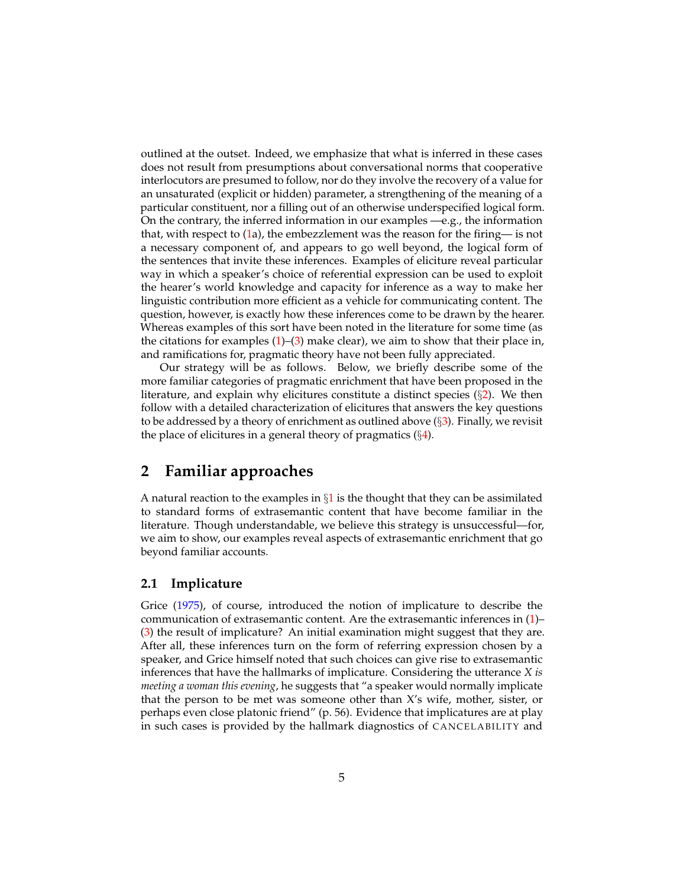outlined at the outset. Indeed, we emphasize that what is inferred in these cases does not result from presumptions about conversational norms that cooperative interlocutors are presumed to follow, nor do they involve the recovery of a value for an unsaturated (explicit or hidden) parameter, a strengthening of the meaning of a particular constituent, nor a filling out of an otherwise underspecified logical form. On the contrary, the inferred information in our examples —e.g., the information that, with respect to [\(1a](#page-1-0)), the embezzlement was the reason for the firing— is not a necessary component of, and appears to go well beyond, the logical form of the sentences that invite these inferences. Examples of eliciture reveal particular way in which a speaker's choice of referential expression can be used to exploit the hearer's world knowledge and capacity for inference as a way to make her linguistic contribution more efficient as a vehicle for communicating content. The question, however, is exactly how these inferences come to be drawn by the hearer. Whereas examples of this sort have been noted in the literature for some time (as the citations for examples  $(1)$ – $(3)$  make clear), we aim to show that their place in, and ramifications for, pragmatic theory have not been fully appreciated.

Our strategy will be as follows. Below, we briefly describe some of the more familiar categories of pragmatic enrichment that have been proposed in the literature, and explain why elicitures constitute a distinct species  $(\S_2)$  $(\S_2)$ . We then follow with a detailed characterization of elicitures that answers the key questions to be addressed by a theory of enrichment as outlined above  $(\S3)$  $(\S3)$ . Finally, we revisit the place of elicitures in a general theory of pragmatics  $(\S4)$  $(\S4)$ .

### <span id="page-4-1"></span>**2 Familiar approaches**

A natural reaction to the examples in  $\S1$  $\S1$  is the thought that they can be assimilated to standard forms of extrasemantic content that have become familiar in the literature. Though understandable, we believe this strategy is unsuccessful—for, we aim to show, our examples reveal aspects of extrasemantic enrichment that go beyond familiar accounts.

#### <span id="page-4-0"></span>**2.1 Implicature**

Grice [\(1975\)](#page-33-0), of course, introduced the notion of implicature to describe the communication of extrasemantic content. Are the extrasemantic inferences in [\(1\)](#page-1-0)– [\(3\)](#page-3-0) the result of implicature? An initial examination might suggest that they are. After all, these inferences turn on the form of referring expression chosen by a speaker, and Grice himself noted that such choices can give rise to extrasemantic inferences that have the hallmarks of implicature. Considering the utterance *X is meeting a woman this evening*, he suggests that "a speaker would normally implicate that the person to be met was someone other than X's wife, mother, sister, or perhaps even close platonic friend" (p. 56). Evidence that implicatures are at play in such cases is provided by the hallmark diagnostics of CANCELABILITY and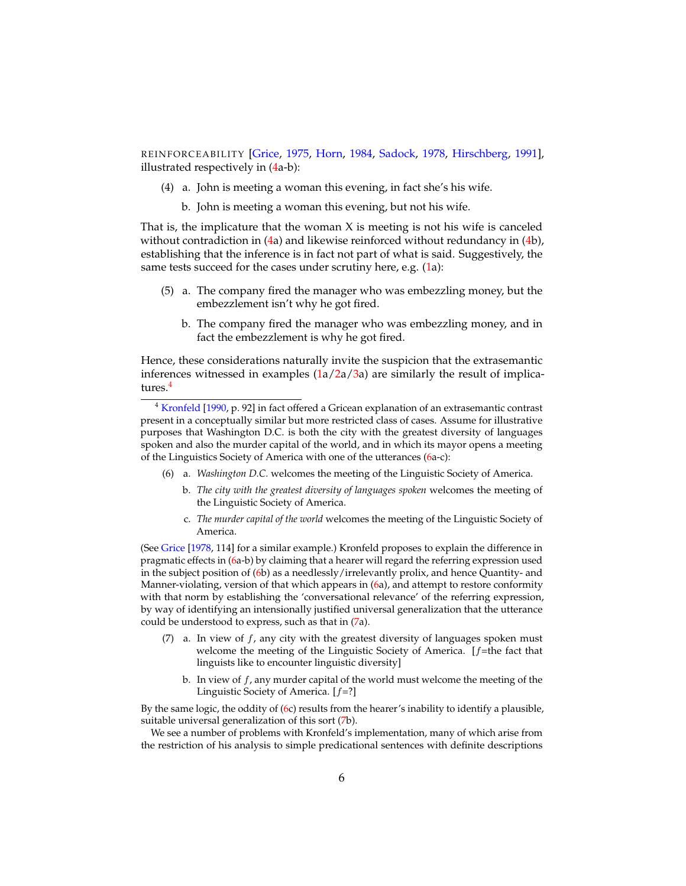REINFORCEABILITY [\[Grice,](#page-33-0) [1975,](#page-33-0) [Horn,](#page-33-4) [1984,](#page-33-4) [Sadock,](#page-34-1) [1978,](#page-34-1) [Hirschberg,](#page-33-5) [1991\]](#page-33-5), illustrated respectively in [\(4a](#page-5-0)-b):

- <span id="page-5-0"></span>(4) a. John is meeting a woman this evening, in fact she's his wife.
	- b. John is meeting a woman this evening, but not his wife.

That is, the implicature that the woman  $X$  is meeting is not his wife is canceled without contradiction in [\(4a](#page-5-0)) and likewise reinforced without redundancy in [\(4b](#page-5-0)), establishing that the inference is in fact not part of what is said. Suggestively, the same tests succeed for the cases under scrutiny here, e.g. [\(1a](#page-1-0)):

- (5) a. The company fired the manager who was embezzling money, but the embezzlement isn't why he got fired.
	- b. The company fired the manager who was embezzling money, and in fact the embezzlement is why he got fired.

Hence, these considerations naturally invite the suspicion that the extrasemantic inferences witnessed in examples  $(1a/2a/3a)$  $(1a/2a/3a)$  $(1a/2a/3a)$  $(1a/2a/3a)$  are similarly the result of implicatures.[4](#page-5-1)

<span id="page-5-1"></span><sup>4</sup> [Kronfeld](#page-34-2) [\[1990,](#page-34-2) p. 92] in fact offered a Gricean explanation of an extrasemantic contrast present in a conceptually similar but more restricted class of cases. Assume for illustrative purposes that Washington D.C. is both the city with the greatest diversity of languages spoken and also the murder capital of the world, and in which its mayor opens a meeting of the Linguistics Society of America with one of the utterances [\(6a](#page-5-2)-c):

- <span id="page-5-2"></span>(6) a. *Washington D.C.* welcomes the meeting of the Linguistic Society of America.
	- b. *The city with the greatest diversity of languages spoken* welcomes the meeting of the Linguistic Society of America.
	- c. *The murder capital of the world* welcomes the meeting of the Linguistic Society of America.

(See [Grice](#page-33-6) [\[1978,](#page-33-6) 114] for a similar example.) Kronfeld proposes to explain the difference in pragmatic effects in [\(6a](#page-5-2)-b) by claiming that a hearer will regard the referring expression used in the subject position of [\(6b](#page-5-2)) as a needlessly/irrelevantly prolix, and hence Quantity- and Manner-violating, version of that which appears in [\(6a](#page-5-2)), and attempt to restore conformity with that norm by establishing the 'conversational relevance' of the referring expression, by way of identifying an intensionally justified universal generalization that the utterance could be understood to express, such as that in [\(7a](#page-5-3)).

- <span id="page-5-3"></span>(7) a. In view of  $f$ , any city with the greatest diversity of languages spoken must welcome the meeting of the Linguistic Society of America.  $[f=$ the fact that linguists like to encounter linguistic diversity]
	- b. In view of  $f$ , any murder capital of the world must welcome the meeting of the Linguistic Society of America.  $[f=?]$

By the same logic, the oddity of [\(6c](#page-5-2)) results from the hearer's inability to identify a plausible, suitable universal generalization of this sort [\(7b](#page-5-3)).

We see a number of problems with Kronfeld's implementation, many of which arise from the restriction of his analysis to simple predicational sentences with definite descriptions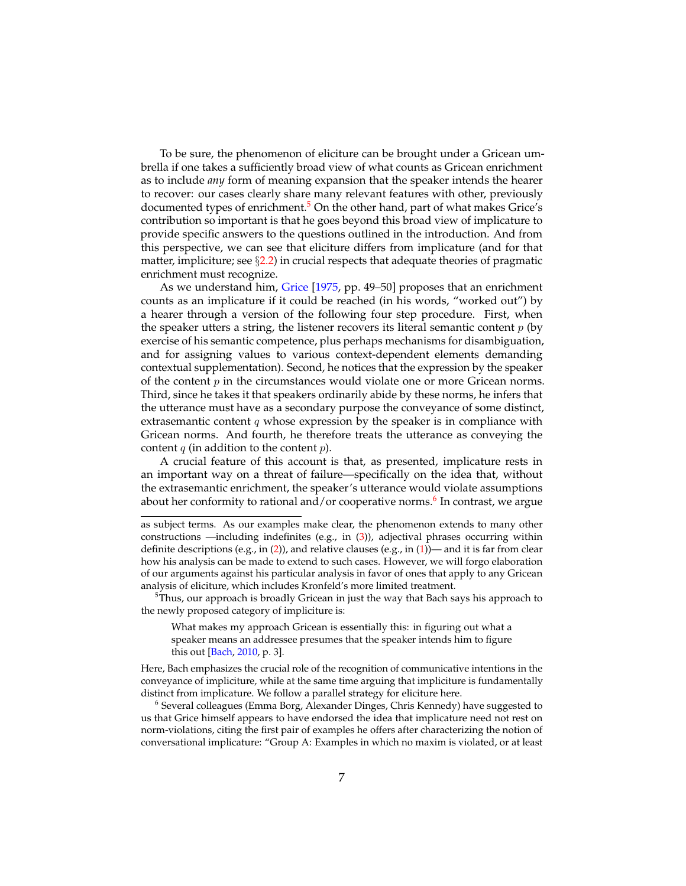To be sure, the phenomenon of eliciture can be brought under a Gricean umbrella if one takes a sufficiently broad view of what counts as Gricean enrichment as to include *any* form of meaning expansion that the speaker intends the hearer to recover: our cases clearly share many relevant features with other, previously documented types of enrichment.<sup>[5](#page-6-0)</sup> On the other hand, part of what makes Grice's contribution so important is that he goes beyond this broad view of implicature to provide specific answers to the questions outlined in the introduction. And from this perspective, we can see that eliciture differs from implicature (and for that matter, impliciture; see  $\S 2.2$ ) in crucial respects that adequate theories of pragmatic enrichment must recognize.

As we understand him, [Grice](#page-33-0) [\[1975,](#page-33-0) pp. 49–50] proposes that an enrichment counts as an implicature if it could be reached (in his words, "worked out") by a hearer through a version of the following four step procedure. First, when the speaker utters a string, the listener recovers its literal semantic content  $p$  (by exercise of his semantic competence, plus perhaps mechanisms for disambiguation, and for assigning values to various context-dependent elements demanding contextual supplementation). Second, he notices that the expression by the speaker of the content  $p$  in the circumstances would violate one or more Gricean norms. Third, since he takes it that speakers ordinarily abide by these norms, he infers that the utterance must have as a secondary purpose the conveyance of some distinct, extrasemantic content  $q$  whose expression by the speaker is in compliance with Gricean norms. And fourth, he therefore treats the utterance as conveying the content  $q$  (in addition to the content  $p$ ).

A crucial feature of this account is that, as presented, implicature rests in an important way on a threat of failure—specifically on the idea that, without the extrasemantic enrichment, the speaker's utterance would violate assumptions about her conformity to rational and/or cooperative norms.<sup>[6](#page-6-1)</sup> In contrast, we argue

<span id="page-6-0"></span> $5$ Thus, our approach is broadly Gricean in just the way that Bach says his approach to the newly proposed category of impliciture is:

What makes my approach Gricean is essentially this: in figuring out what a speaker means an addressee presumes that the speaker intends him to figure this out [\[Bach,](#page-32-2) [2010,](#page-32-2) p. 3].

Here, Bach emphasizes the crucial role of the recognition of communicative intentions in the conveyance of impliciture, while at the same time arguing that impliciture is fundamentally distinct from implicature. We follow a parallel strategy for eliciture here.

<span id="page-6-1"></span> $^6$  Several colleagues (Emma Borg, Alexander Dinges, Chris Kennedy) have suggested to us that Grice himself appears to have endorsed the idea that implicature need not rest on norm-violations, citing the first pair of examples he offers after characterizing the notion of conversational implicature: "Group A: Examples in which no maxim is violated, or at least

as subject terms. As our examples make clear, the phenomenon extends to many other constructions —including indefinites (e.g., in  $(3)$ ), adjectival phrases occurring within definite descriptions (e.g., in [\(2\)](#page-2-2)), and relative clauses (e.g., in [\(1\)](#page-1-0))— and it is far from clear how his analysis can be made to extend to such cases. However, we will forgo elaboration of our arguments against his particular analysis in favor of ones that apply to any Gricean analysis of eliciture, which includes Kronfeld's more limited treatment.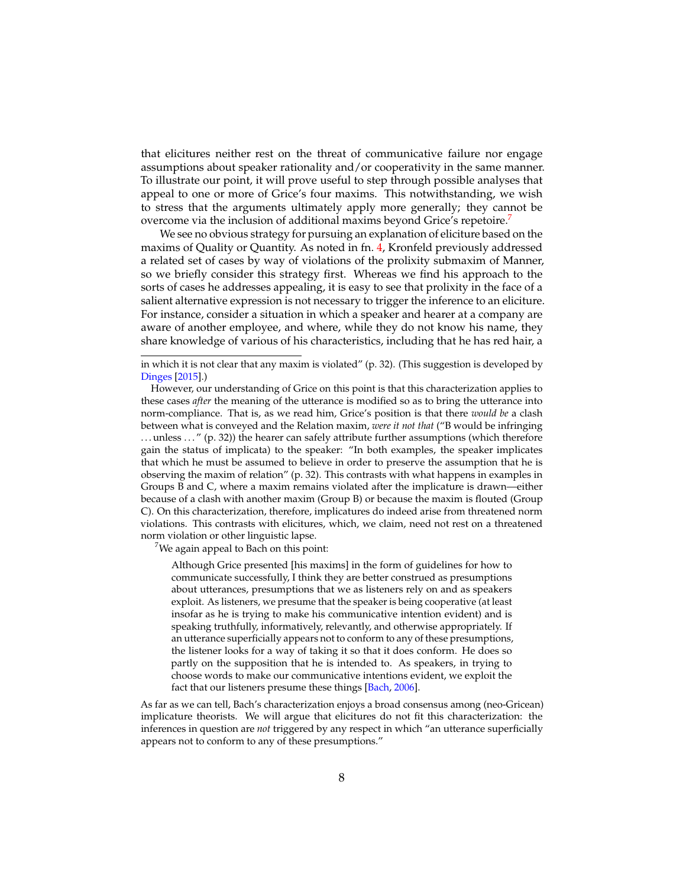that elicitures neither rest on the threat of communicative failure nor engage assumptions about speaker rationality and/or cooperativity in the same manner. To illustrate our point, it will prove useful to step through possible analyses that appeal to one or more of Grice's four maxims. This notwithstanding, we wish to stress that the arguments ultimately apply more generally; they cannot be overcome via the inclusion of additional maxims beyond Grice's repetoire.<sup>[7](#page-7-0)</sup>

We see no obvious strategy for pursuing an explanation of eliciture based on the maxims of Quality or Quantity. As noted in fn. [4,](#page-5-1) Kronfeld previously addressed a related set of cases by way of violations of the prolixity submaxim of Manner, so we briefly consider this strategy first. Whereas we find his approach to the sorts of cases he addresses appealing, it is easy to see that prolixity in the face of a salient alternative expression is not necessary to trigger the inference to an eliciture. For instance, consider a situation in which a speaker and hearer at a company are aware of another employee, and where, while they do not know his name, they share knowledge of various of his characteristics, including that he has red hair, a

in which it is not clear that any maxim is violated" (p. 32). (This suggestion is developed by [Dinges](#page-32-3) [\[2015\]](#page-32-3).)

<span id="page-7-0"></span> $7$ We again appeal to Bach on this point:

Although Grice presented [his maxims] in the form of guidelines for how to communicate successfully, I think they are better construed as presumptions about utterances, presumptions that we as listeners rely on and as speakers exploit. As listeners, we presume that the speaker is being cooperative (at least insofar as he is trying to make his communicative intention evident) and is speaking truthfully, informatively, relevantly, and otherwise appropriately. If an utterance superficially appears not to conform to any of these presumptions, the listener looks for a way of taking it so that it does conform. He does so partly on the supposition that he is intended to. As speakers, in trying to choose words to make our communicative intentions evident, we exploit the fact that our listeners presume these things [\[Bach,](#page-32-4) [2006\]](#page-32-4).

As far as we can tell, Bach's characterization enjoys a broad consensus among (neo-Gricean) implicature theorists. We will argue that elicitures do not fit this characterization: the inferences in question are *not* triggered by any respect in which "an utterance superficially appears not to conform to any of these presumptions."

However, our understanding of Grice on this point is that this characterization applies to these cases *after* the meaning of the utterance is modified so as to bring the utterance into norm-compliance. That is, as we read him, Grice's position is that there *would be* a clash between what is conveyed and the Relation maxim, *were it not that* ("B would be infringing . . . unless . . . " (p. 32)) the hearer can safely attribute further assumptions (which therefore gain the status of implicata) to the speaker: "In both examples, the speaker implicates that which he must be assumed to believe in order to preserve the assumption that he is observing the maxim of relation" (p. 32). This contrasts with what happens in examples in Groups B and C, where a maxim remains violated after the implicature is drawn—either because of a clash with another maxim (Group B) or because the maxim is flouted (Group C). On this characterization, therefore, implicatures do indeed arise from threatened norm violations. This contrasts with elicitures, which, we claim, need not rest on a threatened norm violation or other linguistic lapse.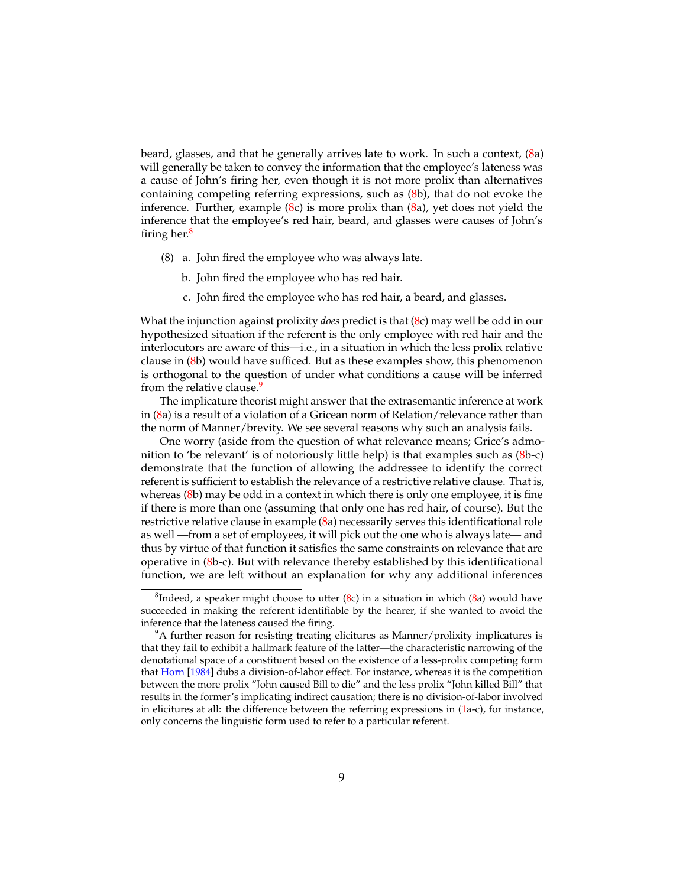beard, glasses, and that he generally arrives late to work. In such a context, [\(8a](#page-8-0)) will generally be taken to convey the information that the employee's lateness was a cause of John's firing her, even though it is not more prolix than alternatives containing competing referring expressions, such as [\(8b](#page-8-0)), that do not evoke the inference. Further, example [\(8c](#page-8-0)) is more prolix than [\(8a](#page-8-0)), yet does not yield the inference that the employee's red hair, beard, and glasses were causes of John's firing her.<sup>[8](#page-8-1)</sup>

- <span id="page-8-0"></span>(8) a. John fired the employee who was always late.
	- b. John fired the employee who has red hair.
	- c. John fired the employee who has red hair, a beard, and glasses.

What the injunction against prolixity *does* predict is that [\(8c](#page-8-0)) may well be odd in our hypothesized situation if the referent is the only employee with red hair and the interlocutors are aware of this—i.e., in a situation in which the less prolix relative clause in [\(8b](#page-8-0)) would have sufficed. But as these examples show, this phenomenon is orthogonal to the question of under what conditions a cause will be inferred from the relative clause.<sup>[9](#page-8-2)</sup>

The implicature theorist might answer that the extrasemantic inference at work in [\(8a](#page-8-0)) is a result of a violation of a Gricean norm of Relation/relevance rather than the norm of Manner/brevity. We see several reasons why such an analysis fails.

One worry (aside from the question of what relevance means; Grice's admonition to 'be relevant' is of notoriously little help) is that examples such as [\(8b](#page-8-0)-c) demonstrate that the function of allowing the addressee to identify the correct referent is sufficient to establish the relevance of a restrictive relative clause. That is, whereas [\(8b](#page-8-0)) may be odd in a context in which there is only one employee, it is fine if there is more than one (assuming that only one has red hair, of course). But the restrictive relative clause in example [\(8a](#page-8-0)) necessarily serves this identificational role as well —from a set of employees, it will pick out the one who is always late— and thus by virtue of that function it satisfies the same constraints on relevance that are operative in [\(8b](#page-8-0)-c). But with relevance thereby established by this identificational function, we are left without an explanation for why any additional inferences

<span id="page-8-1"></span> ${}^{8}$ Indeed, a speaker might choose to utter [\(8c](#page-8-0)) in a situation in which [\(8a](#page-8-0)) would have succeeded in making the referent identifiable by the hearer, if she wanted to avoid the inference that the lateness caused the firing.

<span id="page-8-2"></span> $9A$  further reason for resisting treating elicitures as Manner/prolixity implicatures is that they fail to exhibit a hallmark feature of the latter—the characteristic narrowing of the denotational space of a constituent based on the existence of a less-prolix competing form that [Horn](#page-33-4) [\[1984\]](#page-33-4) dubs a division-of-labor effect. For instance, whereas it is the competition between the more prolix "John caused Bill to die" and the less prolix "John killed Bill" that results in the former's implicating indirect causation; there is no division-of-labor involved in elicitures at all: the difference between the referring expressions in [\(1a](#page-1-0)-c), for instance, only concerns the linguistic form used to refer to a particular referent.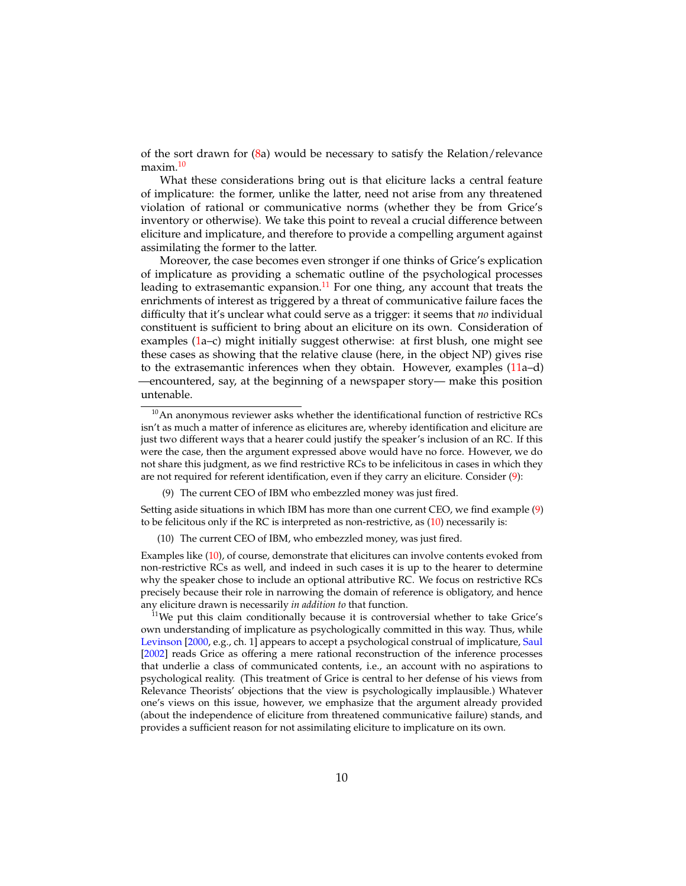of the sort drawn for [\(8a](#page-8-0)) would be necessary to satisfy the Relation/relevance maxim.<sup>[10](#page-9-0)</sup>

What these considerations bring out is that eliciture lacks a central feature of implicature: the former, unlike the latter, need not arise from any threatened violation of rational or communicative norms (whether they be from Grice's inventory or otherwise). We take this point to reveal a crucial difference between eliciture and implicature, and therefore to provide a compelling argument against assimilating the former to the latter.

Moreover, the case becomes even stronger if one thinks of Grice's explication of implicature as providing a schematic outline of the psychological processes leading to extrasemantic expansion. $11$  For one thing, any account that treats the enrichments of interest as triggered by a threat of communicative failure faces the difficulty that it's unclear what could serve as a trigger: it seems that *no* individual constituent is sufficient to bring about an eliciture on its own. Consideration of examples [\(1a](#page-1-0)–c) might initially suggest otherwise: at first blush, one might see these cases as showing that the relative clause (here, in the object NP) gives rise to the extrasemantic inferences when they obtain. However, examples [\(11a](#page-9-2)–d) —encountered, say, at the beginning of a newspaper story— make this position untenable.

Setting aside situations in which IBM has more than one current CEO, we find example [\(9\)](#page-9-3) to be felicitous only if the RC is interpreted as non-restrictive, as [\(10\)](#page-9-4) necessarily is:

(10) The current CEO of IBM, who embezzled money, was just fired.

Examples like [\(10\)](#page-9-4), of course, demonstrate that elicitures can involve contents evoked from non-restrictive RCs as well, and indeed in such cases it is up to the hearer to determine why the speaker chose to include an optional attributive RC. We focus on restrictive RCs precisely because their role in narrowing the domain of reference is obligatory, and hence any eliciture drawn is necessarily *in addition to* that function.

<span id="page-9-1"></span><sup>11</sup>We put this claim conditionally because it is controversial whether to take Grice's own understanding of implicature as psychologically committed in this way. Thus, while [Levinson](#page-34-3) [\[2000,](#page-34-3) e.g., ch. 1] appears to accept a psychological construal of implicature, [Saul](#page-34-4) [\[2002\]](#page-34-4) reads Grice as offering a mere rational reconstruction of the inference processes that underlie a class of communicated contents, i.e., an account with no aspirations to psychological reality. (This treatment of Grice is central to her defense of his views from Relevance Theorists' objections that the view is psychologically implausible.) Whatever one's views on this issue, however, we emphasize that the argument already provided (about the independence of eliciture from threatened communicative failure) stands, and provides a sufficient reason for not assimilating eliciture to implicature on its own.

<span id="page-9-2"></span><span id="page-9-0"></span> $10$ An anonymous reviewer asks whether the identificational function of restrictive RCs isn't as much a matter of inference as elicitures are, whereby identification and eliciture are just two different ways that a hearer could justify the speaker's inclusion of an RC. If this were the case, then the argument expressed above would have no force. However, we do not share this judgment, as we find restrictive RCs to be infelicitous in cases in which they are not required for referent identification, even if they carry an eliciture. Consider [\(9\)](#page-9-3):

<span id="page-9-4"></span><span id="page-9-3"></span><sup>(9)</sup> The current CEO of IBM who embezzled money was just fired.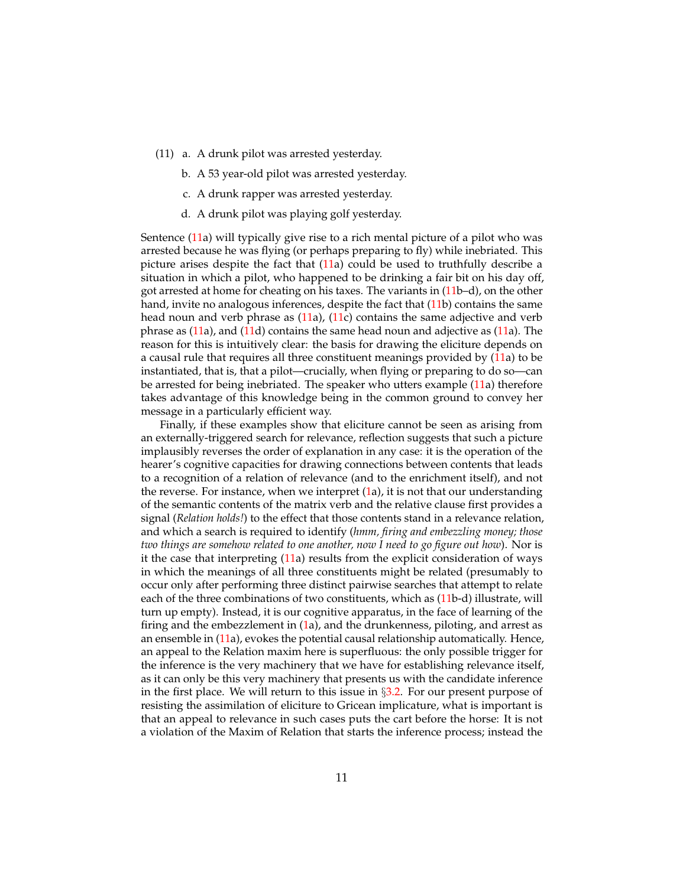- (11) a. A drunk pilot was arrested yesterday.
	- b. A 53 year-old pilot was arrested yesterday.
	- c. A drunk rapper was arrested yesterday.
	- d. A drunk pilot was playing golf yesterday.

Sentence [\(11a](#page-9-2)) will typically give rise to a rich mental picture of a pilot who was arrested because he was flying (or perhaps preparing to fly) while inebriated. This picture arises despite the fact that [\(11a](#page-9-2)) could be used to truthfully describe a situation in which a pilot, who happened to be drinking a fair bit on his day off, got arrested at home for cheating on his taxes. The variants in [\(11b](#page-9-2)–d), on the other hand, invite no analogous inferences, despite the fact that [\(11b](#page-9-2)) contains the same head noun and verb phrase as [\(11a](#page-9-2)), [\(11c](#page-9-2)) contains the same adjective and verb phrase as [\(11a](#page-9-2)), and [\(11d](#page-9-2)) contains the same head noun and adjective as [\(11a](#page-9-2)). The reason for this is intuitively clear: the basis for drawing the eliciture depends on a causal rule that requires all three constituent meanings provided by [\(11a](#page-9-2)) to be instantiated, that is, that a pilot—crucially, when flying or preparing to do so—can be arrested for being inebriated. The speaker who utters example [\(11a](#page-9-2)) therefore takes advantage of this knowledge being in the common ground to convey her message in a particularly efficient way.

Finally, if these examples show that eliciture cannot be seen as arising from an externally-triggered search for relevance, reflection suggests that such a picture implausibly reverses the order of explanation in any case: it is the operation of the hearer's cognitive capacities for drawing connections between contents that leads to a recognition of a relation of relevance (and to the enrichment itself), and not the reverse. For instance, when we interpret [\(1a](#page-1-0)), it is not that our understanding of the semantic contents of the matrix verb and the relative clause first provides a signal (*Relation holds!*) to the effect that those contents stand in a relevance relation, and which a search is required to identify (*hmm, firing and embezzling money; those two things are somehow related to one another, now I need to go figure out how*). Nor is it the case that interpreting [\(11a](#page-9-2)) results from the explicit consideration of ways in which the meanings of all three constituents might be related (presumably to occur only after performing three distinct pairwise searches that attempt to relate each of the three combinations of two constituents, which as [\(11b](#page-9-2)-d) illustrate, will turn up empty). Instead, it is our cognitive apparatus, in the face of learning of the firing and the embezzlement in  $(1a)$  $(1a)$ , and the drunkenness, piloting, and arrest as an ensemble in [\(11a](#page-9-2)), evokes the potential causal relationship automatically. Hence, an appeal to the Relation maxim here is superfluous: the only possible trigger for the inference is the very machinery that we have for establishing relevance itself, as it can only be this very machinery that presents us with the candidate inference in the first place. We will return to this issue in §[3.2.](#page-23-0) For our present purpose of resisting the assimilation of eliciture to Gricean implicature, what is important is that an appeal to relevance in such cases puts the cart before the horse: It is not a violation of the Maxim of Relation that starts the inference process; instead the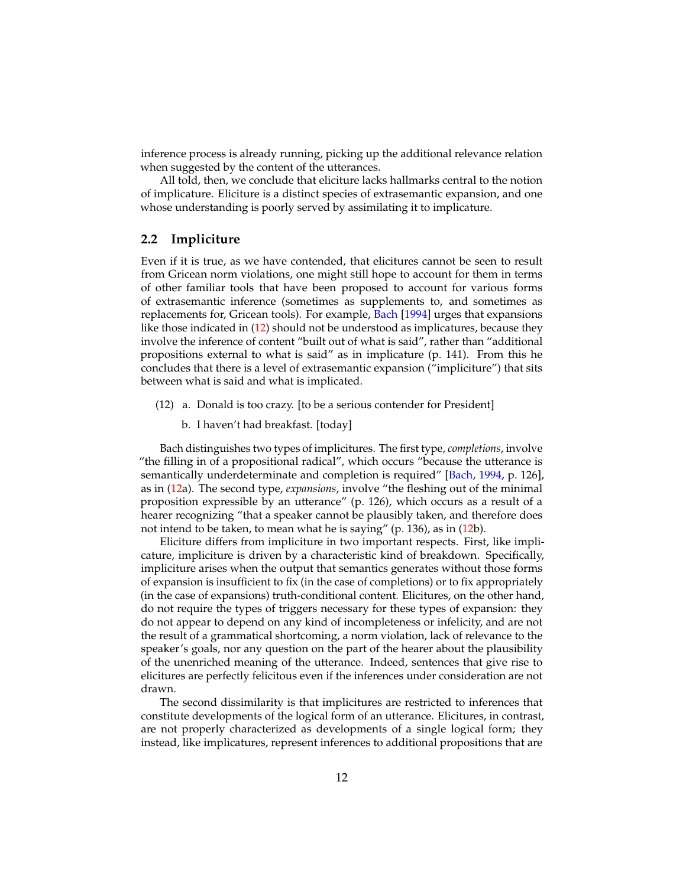inference process is already running, picking up the additional relevance relation when suggested by the content of the utterances.

All told, then, we conclude that eliciture lacks hallmarks central to the notion of implicature. Eliciture is a distinct species of extrasemantic expansion, and one whose understanding is poorly served by assimilating it to implicature.

### <span id="page-11-0"></span>**2.2 Impliciture**

Even if it is true, as we have contended, that elicitures cannot be seen to result from Gricean norm violations, one might still hope to account for them in terms of other familiar tools that have been proposed to account for various forms of extrasemantic inference (sometimes as supplements to, and sometimes as replacements for, Gricean tools). For example, [Bach](#page-32-5) [\[1994\]](#page-32-5) urges that expansions like those indicated in [\(12\)](#page-11-1) should not be understood as implicatures, because they involve the inference of content "built out of what is said", rather than "additional propositions external to what is said" as in implicature (p. 141). From this he concludes that there is a level of extrasemantic expansion ("impliciture") that sits between what is said and what is implicated.

- <span id="page-11-1"></span>(12) a. Donald is too crazy. [to be a serious contender for President]
	- b. I haven't had breakfast. [today]

Bach distinguishes two types of implicitures. The first type, *completions*, involve "the filling in of a propositional radical", which occurs "because the utterance is semantically underdeterminate and completion is required" [\[Bach,](#page-32-5) [1994,](#page-32-5) p. 126], as in [\(12a](#page-11-1)). The second type, *expansions*, involve "the fleshing out of the minimal proposition expressible by an utterance" (p. 126), which occurs as a result of a hearer recognizing "that a speaker cannot be plausibly taken, and therefore does not intend to be taken, to mean what he is saying" (p. 136), as in [\(12b](#page-11-1)).

Eliciture differs from impliciture in two important respects. First, like implicature, impliciture is driven by a characteristic kind of breakdown. Specifically, impliciture arises when the output that semantics generates without those forms of expansion is insufficient to fix (in the case of completions) or to fix appropriately (in the case of expansions) truth-conditional content. Elicitures, on the other hand, do not require the types of triggers necessary for these types of expansion: they do not appear to depend on any kind of incompleteness or infelicity, and are not the result of a grammatical shortcoming, a norm violation, lack of relevance to the speaker's goals, nor any question on the part of the hearer about the plausibility of the unenriched meaning of the utterance. Indeed, sentences that give rise to elicitures are perfectly felicitous even if the inferences under consideration are not drawn.

The second dissimilarity is that implicitures are restricted to inferences that constitute developments of the logical form of an utterance. Elicitures, in contrast, are not properly characterized as developments of a single logical form; they instead, like implicatures, represent inferences to additional propositions that are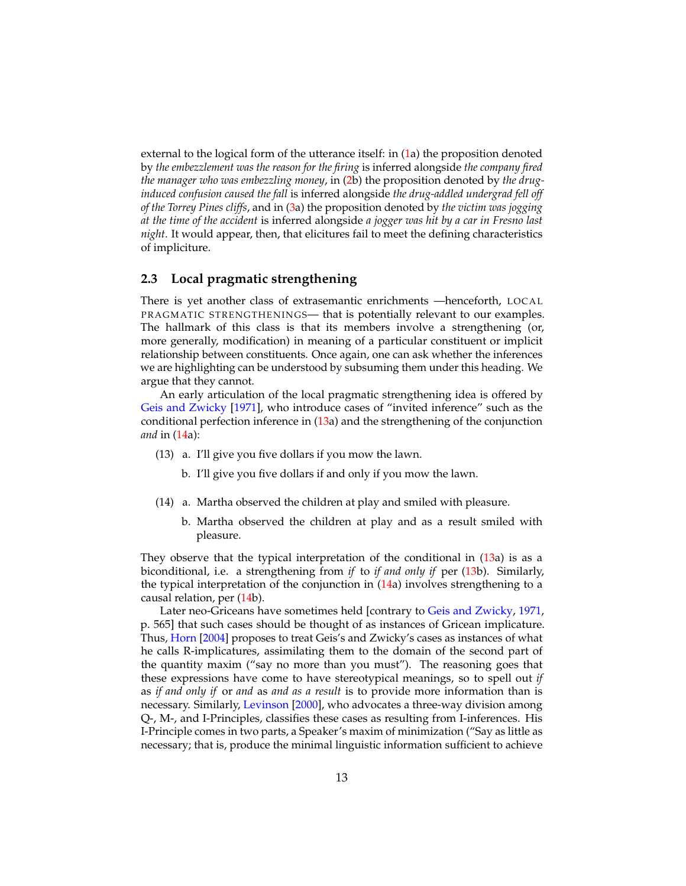external to the logical form of the utterance itself: in [\(1a](#page-1-0)) the proposition denoted by *the embezzlement was the reason for the firing* is inferred alongside *the company fired the manager who was embezzling money*, in [\(2b](#page-2-2)) the proposition denoted by *the druginduced confusion caused the fall* is inferred alongside *the drug-addled undergrad fell off of the Torrey Pines cliffs*, and in [\(3a](#page-3-0)) the proposition denoted by *the victim was jogging at the time of the accident* is inferred alongside *a jogger was hit by a car in Fresno last night*. It would appear, then, that elicitures fail to meet the defining characteristics of impliciture.

### <span id="page-12-0"></span>**2.3 Local pragmatic strengthening**

There is yet another class of extrasemantic enrichments —henceforth, LOCAL PRAGMATIC STRENGTHENINGS— that is potentially relevant to our examples. The hallmark of this class is that its members involve a strengthening (or, more generally, modification) in meaning of a particular constituent or implicit relationship between constituents. Once again, one can ask whether the inferences we are highlighting can be understood by subsuming them under this heading. We argue that they cannot.

An early articulation of the local pragmatic strengthening idea is offered by [Geis and Zwicky](#page-32-6) [\[1971\]](#page-32-6), who introduce cases of "invited inference" such as the conditional perfection inference in [\(13a](#page-12-1)) and the strengthening of the conjunction *and* in [\(14a](#page-12-2)):

- <span id="page-12-1"></span>(13) a. I'll give you five dollars if you mow the lawn.
	- b. I'll give you five dollars if and only if you mow the lawn.
- <span id="page-12-2"></span>(14) a. Martha observed the children at play and smiled with pleasure.
	- b. Martha observed the children at play and as a result smiled with pleasure.

They observe that the typical interpretation of the conditional in [\(13a](#page-12-1)) is as a biconditional, i.e. a strengthening from *if* to *if and only if* per [\(13b](#page-12-1)). Similarly, the typical interpretation of the conjunction in  $(14a)$  $(14a)$  involves strengthening to a causal relation, per [\(14b](#page-12-2)).

Later neo-Griceans have sometimes held [contrary to [Geis and Zwicky,](#page-32-6) [1971,](#page-32-6) p. 565] that such cases should be thought of as instances of Gricean implicature. Thus, [Horn](#page-33-7) [\[2004\]](#page-33-7) proposes to treat Geis's and Zwicky's cases as instances of what he calls R-implicatures, assimilating them to the domain of the second part of the quantity maxim ("say no more than you must"). The reasoning goes that these expressions have come to have stereotypical meanings, so to spell out *if* as *if and only if* or *and* as *and as a result* is to provide more information than is necessary. Similarly, [Levinson](#page-34-3) [\[2000\]](#page-34-3), who advocates a three-way division among Q-, M-, and I-Principles, classifies these cases as resulting from I-inferences. His I-Principle comes in two parts, a Speaker's maxim of minimization ("Say as little as necessary; that is, produce the minimal linguistic information sufficient to achieve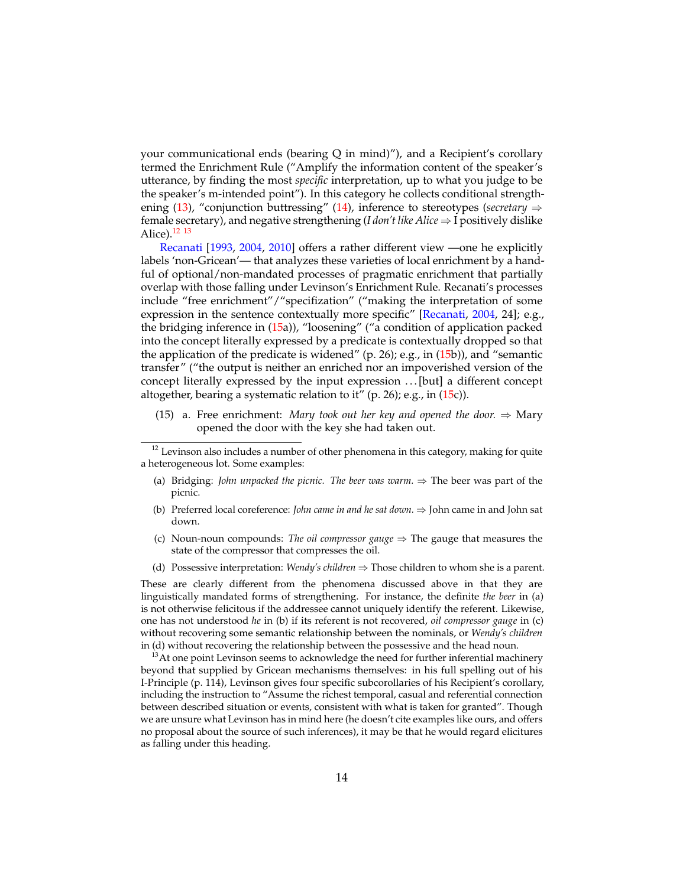your communicational ends (bearing Q in mind)"), and a Recipient's corollary termed the Enrichment Rule ("Amplify the information content of the speaker's utterance, by finding the most *specific* interpretation, up to what you judge to be the speaker's m-intended point"). In this category he collects conditional strengthening [\(13\)](#page-12-1), "conjunction buttressing" [\(14\)](#page-12-2), inference to stereotypes (*secretary* ⇒ female secretary), and negative strengthening ( $I don't like Alice \Rightarrow I$  positively dislike Alice). $12 \t13$  $12 \t13$  $12 \t13$ 

[Recanati](#page-34-5) [\[1993,](#page-34-5) [2004,](#page-34-6) [2010\]](#page-34-7) offers a rather different view —one he explicitly labels 'non-Gricean'— that analyzes these varieties of local enrichment by a handful of optional/non-mandated processes of pragmatic enrichment that partially overlap with those falling under Levinson's Enrichment Rule. Recanati's processes include "free enrichment"/"specifization" ("making the interpretation of some expression in the sentence contextually more specific" [\[Recanati,](#page-34-6) [2004,](#page-34-6) 24]; e.g., the bridging inference in [\(15a](#page-13-2))), "loosening" ("a condition of application packed into the concept literally expressed by a predicate is contextually dropped so that the application of the predicate is widened" (p. 26); e.g., in [\(15b](#page-13-2))), and "semantic transfer" ("the output is neither an enriched nor an impoverished version of the concept literally expressed by the input expression . . . [but] a different concept altogether, bearing a systematic relation to it" (p. 26); e.g., in  $(15c)$  $(15c)$ ).

<span id="page-13-2"></span>(15) a. Free enrichment: *Mary took out her key and opened the door.*  $\Rightarrow$  Mary opened the door with the key she had taken out.

- (a) Bridging: *John unpacked the picnic. The beer was warm*.  $\Rightarrow$  The beer was part of the picnic.
- (b) Preferred local coreference: *John came in and he sat down.* ⇒ John came in and John sat down.
- (c) Noun-noun compounds: *The oil compressor gauge*  $\Rightarrow$  The gauge that measures the state of the compressor that compresses the oil.
- (d) Possessive interpretation: *Wendy's children* ⇒ Those children to whom she is a parent.

These are clearly different from the phenomena discussed above in that they are linguistically mandated forms of strengthening. For instance, the definite *the beer* in (a) is not otherwise felicitous if the addressee cannot uniquely identify the referent. Likewise, one has not understood *he* in (b) if its referent is not recovered, *oil compressor gauge* in (c) without recovering some semantic relationship between the nominals, or *Wendy's children* in (d) without recovering the relationship between the possessive and the head noun.

<span id="page-13-1"></span> $13$ At one point Levinson seems to acknowledge the need for further inferential machinery beyond that supplied by Gricean mechanisms themselves: in his full spelling out of his I-Principle (p. 114), Levinson gives four specific subcorollaries of his Recipient's corollary, including the instruction to "Assume the richest temporal, casual and referential connection between described situation or events, consistent with what is taken for granted". Though we are unsure what Levinson has in mind here (he doesn't cite examples like ours, and offers no proposal about the source of such inferences), it may be that he would regard elicitures as falling under this heading.

<span id="page-13-0"></span> $12$  Levinson also includes a number of other phenomena in this category, making for quite a heterogeneous lot. Some examples: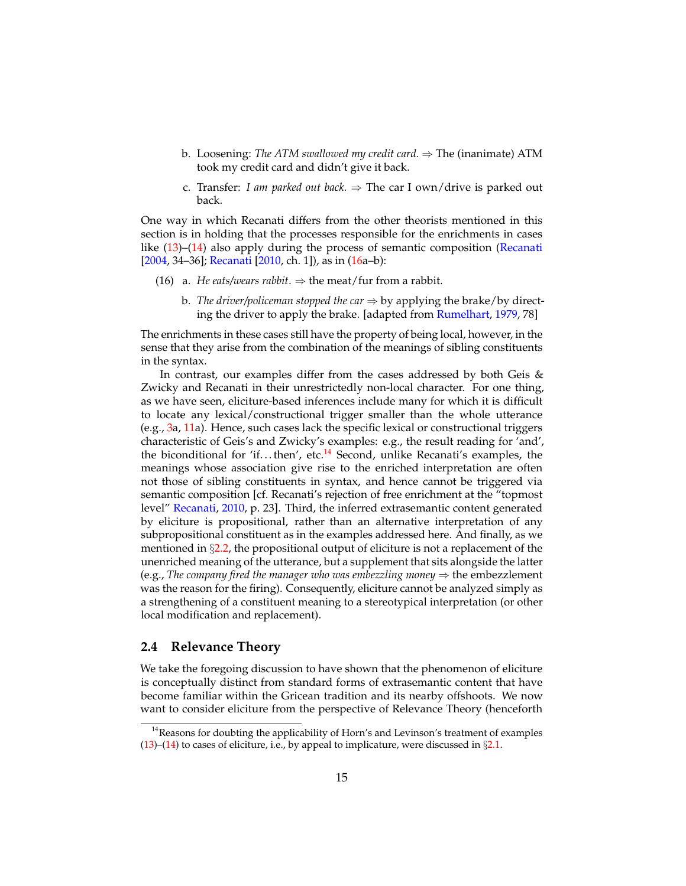- b. Loosening: *The ATM swallowed my credit card.* ⇒ The (inanimate) ATM took my credit card and didn't give it back.
- <span id="page-14-0"></span>c. Transfer: *I am parked out back*.  $\Rightarrow$  The car I own/drive is parked out back.

One way in which Recanati differs from the other theorists mentioned in this section is in holding that the processes responsible for the enrichments in cases like [\(13\)](#page-12-1)–[\(14\)](#page-12-2) also apply during the process of semantic composition [\(Recanati](#page-34-6) [\[2004,](#page-34-6) 34–36]; [Recanati](#page-34-7) [\[2010,](#page-34-7) ch. 1]), as in [\(16a](#page-14-0)–b):

- (16) a. *He eats/wears rabbit*.  $\Rightarrow$  the meat/fur from a rabbit.
	- b. *The driver/policeman stopped the car*  $\Rightarrow$  by applying the brake/by directing the driver to apply the brake. [adapted from [Rumelhart,](#page-34-8) [1979,](#page-34-8) 78]

The enrichments in these cases still have the property of being local, however, in the sense that they arise from the combination of the meanings of sibling constituents in the syntax.

In contrast, our examples differ from the cases addressed by both Geis  $\&$ Zwicky and Recanati in their unrestrictedly non-local character. For one thing, as we have seen, eliciture-based inferences include many for which it is difficult to locate any lexical/constructional trigger smaller than the whole utterance (e.g., [3a](#page-3-0), [11a](#page-9-2)). Hence, such cases lack the specific lexical or constructional triggers characteristic of Geis's and Zwicky's examples: e.g., the result reading for 'and', the biconditional for 'if...then', etc.<sup>[14](#page-14-1)</sup> Second, unlike Recanati's examples, the meanings whose association give rise to the enriched interpretation are often not those of sibling constituents in syntax, and hence cannot be triggered via semantic composition [cf. Recanati's rejection of free enrichment at the "topmost level" [Recanati,](#page-34-7) [2010,](#page-34-7) p. 23]. Third, the inferred extrasemantic content generated by eliciture is propositional, rather than an alternative interpretation of any subpropositional constituent as in the examples addressed here. And finally, as we mentioned in  $\S 2.2$ , the propositional output of eliciture is not a replacement of the unenriched meaning of the utterance, but a supplement that sits alongside the latter (e.g., *The company fired the manager who was embezzling money*  $\Rightarrow$  the embezzlement was the reason for the firing). Consequently, eliciture cannot be analyzed simply as a strengthening of a constituent meaning to a stereotypical interpretation (or other local modification and replacement).

### **2.4 Relevance Theory**

We take the foregoing discussion to have shown that the phenomenon of eliciture is conceptually distinct from standard forms of extrasemantic content that have become familiar within the Gricean tradition and its nearby offshoots. We now want to consider eliciture from the perspective of Relevance Theory (henceforth

<span id="page-14-1"></span><sup>&</sup>lt;sup>14</sup> Reasons for doubting the applicability of Horn's and Levinson's treatment of examples [\(13\)](#page-12-1)–[\(14\)](#page-12-2) to cases of eliciture, i.e., by appeal to implicature, were discussed in  $\S 2.1$ .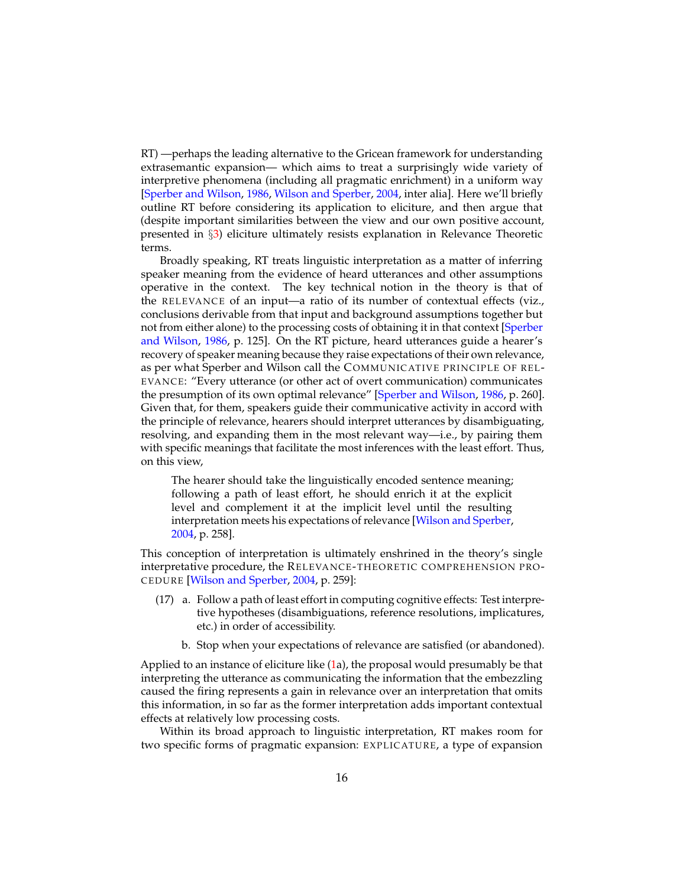RT) —perhaps the leading alternative to the Gricean framework for understanding extrasemantic expansion— which aims to treat a surprisingly wide variety of interpretive phenomena (including all pragmatic enrichment) in a uniform way [\[Sperber and Wilson,](#page-34-9) [1986,](#page-34-9) [Wilson and Sperber,](#page-35-3) [2004,](#page-35-3) inter alia]. Here we'll briefly outline RT before considering its application to eliciture, and then argue that (despite important similarities between the view and our own positive account, presented in §[3\)](#page-20-0) eliciture ultimately resists explanation in Relevance Theoretic terms.

Broadly speaking, RT treats linguistic interpretation as a matter of inferring speaker meaning from the evidence of heard utterances and other assumptions operative in the context. The key technical notion in the theory is that of the RELEVANCE of an input—a ratio of its number of contextual effects (viz., conclusions derivable from that input and background assumptions together but not from either alone) to the processing costs of obtaining it in that context [\[Sperber](#page-34-9) [and Wilson,](#page-34-9) [1986,](#page-34-9) p. 125]. On the RT picture, heard utterances guide a hearer's recovery of speaker meaning because they raise expectations of their own relevance, as per what Sperber and Wilson call the COMMUNICATIVE PRINCIPLE OF REL-EVANCE: "Every utterance (or other act of overt communication) communicates the presumption of its own optimal relevance" [\[Sperber and Wilson,](#page-34-9) [1986,](#page-34-9) p. 260]. Given that, for them, speakers guide their communicative activity in accord with the principle of relevance, hearers should interpret utterances by disambiguating, resolving, and expanding them in the most relevant way—i.e., by pairing them with specific meanings that facilitate the most inferences with the least effort. Thus, on this view,

The hearer should take the linguistically encoded sentence meaning; following a path of least effort, he should enrich it at the explicit level and complement it at the implicit level until the resulting interpretation meets his expectations of relevance [\[Wilson and Sperber,](#page-35-3) [2004,](#page-35-3) p. 258].

This conception of interpretation is ultimately enshrined in the theory's single interpretative procedure, the RELEVANCE-THEORETIC COMPREHENSION PRO-CEDURE [\[Wilson and Sperber,](#page-35-3) [2004,](#page-35-3) p. 259]:

- <span id="page-15-0"></span>(17) a. Follow a path of least effort in computing cognitive effects: Test interpretive hypotheses (disambiguations, reference resolutions, implicatures, etc.) in order of accessibility.
	- b. Stop when your expectations of relevance are satisfied (or abandoned).

Applied to an instance of eliciture like [\(1a](#page-1-0)), the proposal would presumably be that interpreting the utterance as communicating the information that the embezzling caused the firing represents a gain in relevance over an interpretation that omits this information, in so far as the former interpretation adds important contextual effects at relatively low processing costs.

Within its broad approach to linguistic interpretation, RT makes room for two specific forms of pragmatic expansion: EXPLICATURE, a type of expansion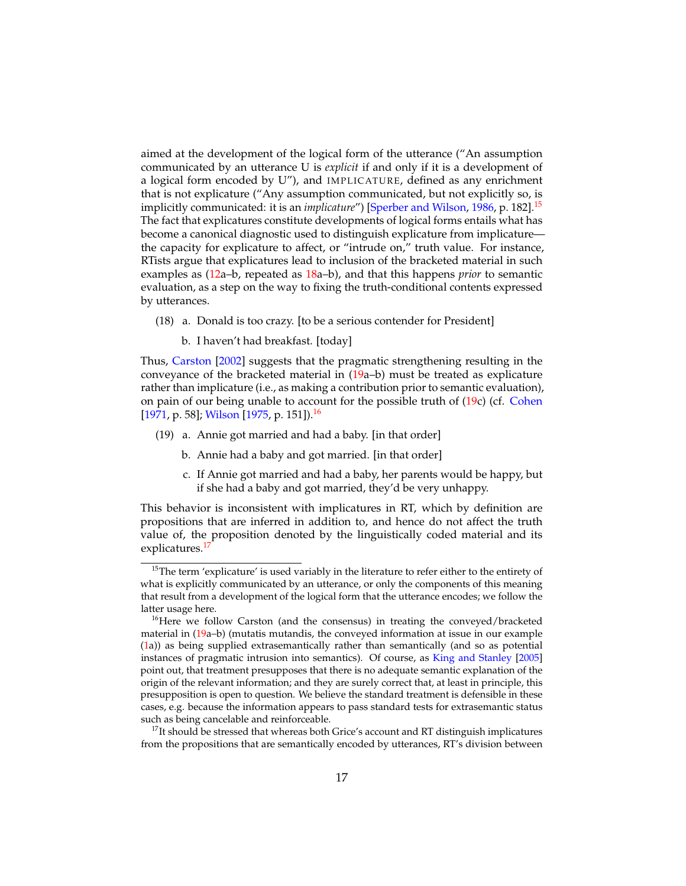aimed at the development of the logical form of the utterance ("An assumption communicated by an utterance U is *explicit* if and only if it is a development of a logical form encoded by U"), and IMPLICATURE, defined as any enrichment that is not explicature ("Any assumption communicated, but not explicitly so, is implicitly communicated: it is an *implicature*") [\[Sperber and Wilson,](#page-34-9) [1986,](#page-34-9) p. 182].[15](#page-16-0) The fact that explicatures constitute developments of logical forms entails what has become a canonical diagnostic used to distinguish explicature from implicature the capacity for explicature to affect, or "intrude on," truth value. For instance, RTists argue that explicatures lead to inclusion of the bracketed material in such examples as [\(12a](#page-11-1)–b, repeated as [18a](#page-16-1)–b), and that this happens *prior* to semantic evaluation, as a step on the way to fixing the truth-conditional contents expressed by utterances.

- <span id="page-16-1"></span>(18) a. Donald is too crazy. [to be a serious contender for President]
	- b. I haven't had breakfast. [today]

Thus, [Carston](#page-32-7) [\[2002\]](#page-32-7) suggests that the pragmatic strengthening resulting in the conveyance of the bracketed material in [\(19a](#page-16-2)–b) must be treated as explicature rather than implicature (i.e., as making a contribution prior to semantic evaluation), on pain of our being unable to account for the possible truth of [\(19c](#page-16-2)) (cf. [Cohen](#page-32-8) [\[1971,](#page-32-8) p. 58]; [Wilson](#page-35-4) [\[1975,](#page-35-4) p. 151]).<sup>[16](#page-16-3)</sup>

- <span id="page-16-2"></span>(19) a. Annie got married and had a baby. [in that order]
	- b. Annie had a baby and got married. [in that order]
	- c. If Annie got married and had a baby, her parents would be happy, but if she had a baby and got married, they'd be very unhappy.

This behavior is inconsistent with implicatures in RT, which by definition are propositions that are inferred in addition to, and hence do not affect the truth value of, the proposition denoted by the linguistically coded material and its explicatures.<sup>[17](#page-16-4)</sup>

<span id="page-16-0"></span><sup>&</sup>lt;sup>15</sup>The term 'explicature' is used variably in the literature to refer either to the entirety of what is explicitly communicated by an utterance, or only the components of this meaning that result from a development of the logical form that the utterance encodes; we follow the latter usage here.

<span id="page-16-3"></span><sup>&</sup>lt;sup>16</sup>Here we follow Carston (and the consensus) in treating the conveyed/bracketed material in [\(19a](#page-16-2)–b) (mutatis mutandis, the conveyed information at issue in our example [\(1a](#page-1-0))) as being supplied extrasemantically rather than semantically (and so as potential instances of pragmatic intrusion into semantics). Of course, as [King and Stanley](#page-33-8) [\[2005\]](#page-33-8) point out, that treatment presupposes that there is no adequate semantic explanation of the origin of the relevant information; and they are surely correct that, at least in principle, this presupposition is open to question. We believe the standard treatment is defensible in these cases, e.g. because the information appears to pass standard tests for extrasemantic status such as being cancelable and reinforceable.

<span id="page-16-4"></span> $17$ It should be stressed that whereas both Grice's account and RT distinguish implicatures from the propositions that are semantically encoded by utterances, RT's division between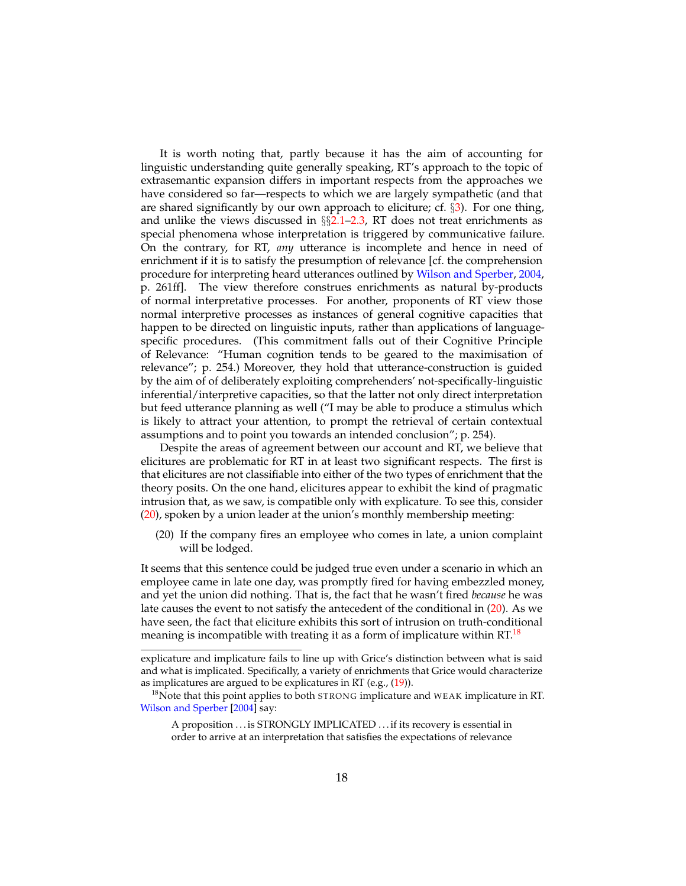It is worth noting that, partly because it has the aim of accounting for linguistic understanding quite generally speaking, RT's approach to the topic of extrasemantic expansion differs in important respects from the approaches we have considered so far—respects to which we are largely sympathetic (and that are shared significantly by our own approach to eliciture; cf. §[3\)](#page-20-0). For one thing, and unlike the views discussed in  $\S$ [2.1](#page-4-0)[–2.3,](#page-12-0) RT does not treat enrichments as special phenomena whose interpretation is triggered by communicative failure. On the contrary, for RT, *any* utterance is incomplete and hence in need of enrichment if it is to satisfy the presumption of relevance [cf. the comprehension procedure for interpreting heard utterances outlined by [Wilson and Sperber,](#page-35-3) [2004,](#page-35-3) p. 261ff]. The view therefore construes enrichments as natural by-products of normal interpretative processes. For another, proponents of RT view those normal interpretive processes as instances of general cognitive capacities that happen to be directed on linguistic inputs, rather than applications of languagespecific procedures. (This commitment falls out of their Cognitive Principle of Relevance: "Human cognition tends to be geared to the maximisation of relevance"; p. 254.) Moreover, they hold that utterance-construction is guided by the aim of of deliberately exploiting comprehenders' not-specifically-linguistic inferential/interpretive capacities, so that the latter not only direct interpretation but feed utterance planning as well ("I may be able to produce a stimulus which is likely to attract your attention, to prompt the retrieval of certain contextual assumptions and to point you towards an intended conclusion"; p. 254).

Despite the areas of agreement between our account and RT, we believe that elicitures are problematic for RT in at least two significant respects. The first is that elicitures are not classifiable into either of the two types of enrichment that the theory posits. On the one hand, elicitures appear to exhibit the kind of pragmatic intrusion that, as we saw, is compatible only with explicature. To see this, consider [\(20\)](#page-17-0), spoken by a union leader at the union's monthly membership meeting:

<span id="page-17-0"></span>(20) If the company fires an employee who comes in late, a union complaint will be lodged.

It seems that this sentence could be judged true even under a scenario in which an employee came in late one day, was promptly fired for having embezzled money, and yet the union did nothing. That is, the fact that he wasn't fired *because* he was late causes the event to not satisfy the antecedent of the conditional in [\(20\)](#page-17-0). As we have seen, the fact that eliciture exhibits this sort of intrusion on truth-conditional meaning is incompatible with treating it as a form of implicature within RT.<sup>[18](#page-17-1)</sup>

explicature and implicature fails to line up with Grice's distinction between what is said and what is implicated. Specifically, a variety of enrichments that Grice would characterize as implicatures are argued to be explicatures in RT (e.g., [\(19\)](#page-16-2)).

<span id="page-17-1"></span> $18$ Note that this point applies to both STRONG implicature and WEAK implicature in RT. [Wilson and Sperber](#page-35-3) [\[2004\]](#page-35-3) say:

A proposition . . . is STRONGLY IMPLICATED . . . if its recovery is essential in order to arrive at an interpretation that satisfies the expectations of relevance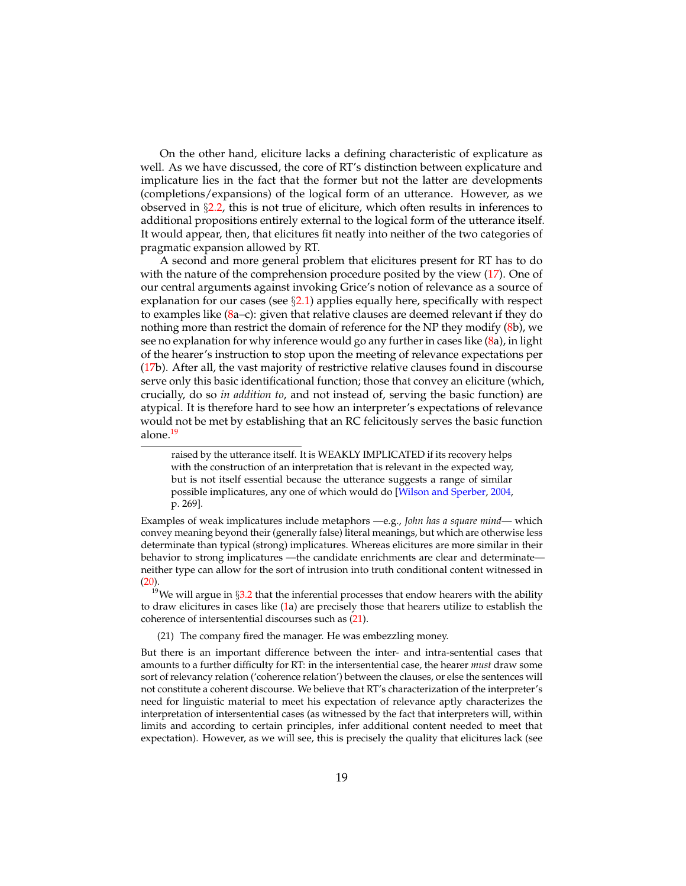On the other hand, eliciture lacks a defining characteristic of explicature as well. As we have discussed, the core of RT's distinction between explicature and implicature lies in the fact that the former but not the latter are developments (completions/expansions) of the logical form of an utterance. However, as we observed in §[2.2,](#page-11-0) this is not true of eliciture, which often results in inferences to additional propositions entirely external to the logical form of the utterance itself. It would appear, then, that elicitures fit neatly into neither of the two categories of pragmatic expansion allowed by RT.

A second and more general problem that elicitures present for RT has to do with the nature of the comprehension procedure posited by the view [\(17\)](#page-15-0). One of our central arguments against invoking Grice's notion of relevance as a source of explanation for our cases (see  $\S2.1$ ) applies equally here, specifically with respect to examples like [\(8a](#page-8-0)-c): given that relative clauses are deemed relevant if they do nothing more than restrict the domain of reference for the NP they modify [\(8b](#page-8-0)), we see no explanation for why inference would go any further in cases like [\(8a](#page-8-0)), in light of the hearer's instruction to stop upon the meeting of relevance expectations per [\(17b](#page-15-0)). After all, the vast majority of restrictive relative clauses found in discourse serve only this basic identificational function; those that convey an eliciture (which, crucially, do so *in addition to*, and not instead of, serving the basic function) are atypical. It is therefore hard to see how an interpreter's expectations of relevance would not be met by establishing that an RC felicitously serves the basic function alone.<sup>[19](#page-18-0)</sup>

Examples of weak implicatures include metaphors —e.g., *John has a square mind*— which convey meaning beyond their (generally false) literal meanings, but which are otherwise less determinate than typical (strong) implicatures. Whereas elicitures are more similar in their behavior to strong implicatures —the candidate enrichments are clear and determinate neither type can allow for the sort of intrusion into truth conditional content witnessed in  $(20)$ .

<span id="page-18-0"></span><sup>19</sup>We will argue in  $\S 3.2$  $\S 3.2$  that the inferential processes that endow hearers with the ability to draw elicitures in cases like [\(1a](#page-1-0)) are precisely those that hearers utilize to establish the coherence of intersentential discourses such as [\(21\)](#page-18-1).

<span id="page-18-1"></span>(21) The company fired the manager. He was embezzling money.

raised by the utterance itself. It is WEAKLY IMPLICATED if its recovery helps with the construction of an interpretation that is relevant in the expected way, but is not itself essential because the utterance suggests a range of similar possible implicatures, any one of which would do [\[Wilson and Sperber,](#page-35-3) [2004,](#page-35-3) p. 269].

But there is an important difference between the inter- and intra-sentential cases that amounts to a further difficulty for RT: in the intersentential case, the hearer *must* draw some sort of relevancy relation ('coherence relation') between the clauses, or else the sentences will not constitute a coherent discourse. We believe that RT's characterization of the interpreter's need for linguistic material to meet his expectation of relevance aptly characterizes the interpretation of intersentential cases (as witnessed by the fact that interpreters will, within limits and according to certain principles, infer additional content needed to meet that expectation). However, as we will see, this is precisely the quality that elicitures lack (see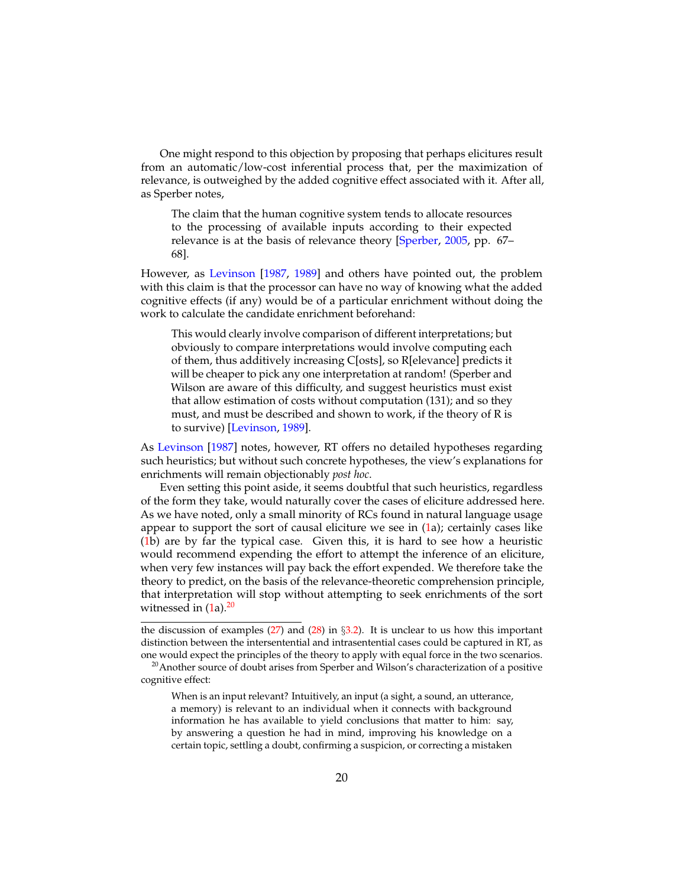One might respond to this objection by proposing that perhaps elicitures result from an automatic/low-cost inferential process that, per the maximization of relevance, is outweighed by the added cognitive effect associated with it. After all, as Sperber notes,

The claim that the human cognitive system tends to allocate resources to the processing of available inputs according to their expected relevance is at the basis of relevance theory [\[Sperber,](#page-34-10) [2005,](#page-34-10) pp. 67– 68].

However, as [Levinson](#page-34-11) [\[1987,](#page-34-11) [1989\]](#page-34-12) and others have pointed out, the problem with this claim is that the processor can have no way of knowing what the added cognitive effects (if any) would be of a particular enrichment without doing the work to calculate the candidate enrichment beforehand:

This would clearly involve comparison of different interpretations; but obviously to compare interpretations would involve computing each of them, thus additively increasing C[osts], so R[elevance] predicts it will be cheaper to pick any one interpretation at random! (Sperber and Wilson are aware of this difficulty, and suggest heuristics must exist that allow estimation of costs without computation (131); and so they must, and must be described and shown to work, if the theory of R is to survive) [\[Levinson,](#page-34-12) [1989\]](#page-34-12).

As [Levinson](#page-34-11) [\[1987\]](#page-34-11) notes, however, RT offers no detailed hypotheses regarding such heuristics; but without such concrete hypotheses, the view's explanations for enrichments will remain objectionably *post hoc*.

Even setting this point aside, it seems doubtful that such heuristics, regardless of the form they take, would naturally cover the cases of eliciture addressed here. As we have noted, only a small minority of RCs found in natural language usage appear to support the sort of causal eliciture we see in  $(1a)$  $(1a)$ ; certainly cases like [\(1b](#page-1-0)) are by far the typical case. Given this, it is hard to see how a heuristic would recommend expending the effort to attempt the inference of an eliciture, when very few instances will pay back the effort expended. We therefore take the theory to predict, on the basis of the relevance-theoretic comprehension principle, that interpretation will stop without attempting to seek enrichments of the sort witnessed in  $(1a).^{20}$  $(1a).^{20}$  $(1a).^{20}$  $(1a).^{20}$ 

the discussion of examples  $(27)$  and  $(28)$  in §[3.2\)](#page-23-0). It is unclear to us how this important distinction between the intersentential and intrasentential cases could be captured in RT, as one would expect the principles of the theory to apply with equal force in the two scenarios.

When is an input relevant? Intuitively, an input (a sight, a sound, an utterance, a memory) is relevant to an individual when it connects with background information he has available to yield conclusions that matter to him: say, by answering a question he had in mind, improving his knowledge on a certain topic, settling a doubt, confirming a suspicion, or correcting a mistaken

<span id="page-19-0"></span><sup>&</sup>lt;sup>20</sup> Another source of doubt arises from Sperber and Wilson's characterization of a positive cognitive effect: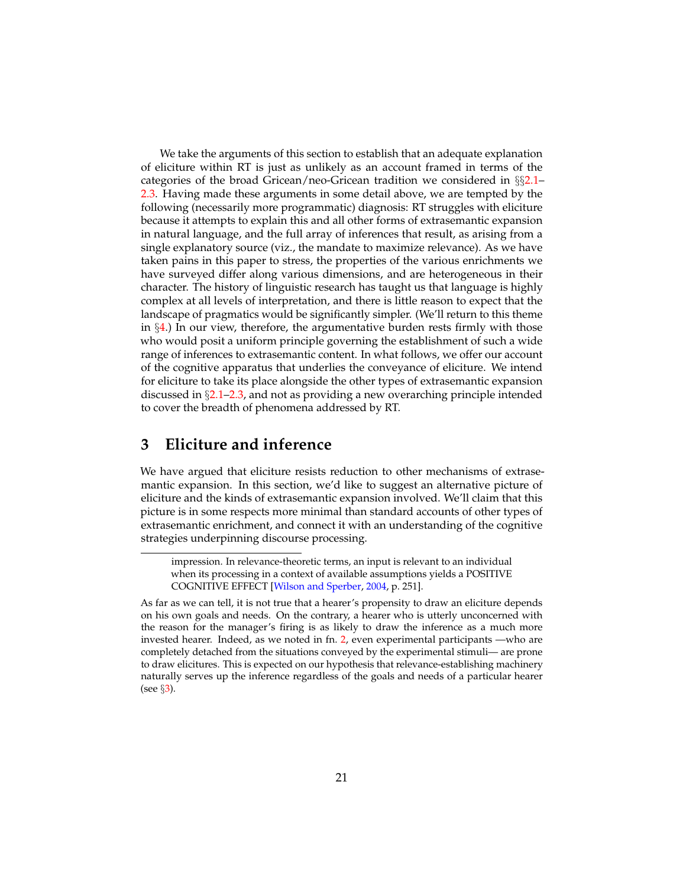We take the arguments of this section to establish that an adequate explanation of eliciture within RT is just as unlikely as an account framed in terms of the categories of the broad Gricean/neo-Gricean tradition we considered in §§[2.1–](#page-4-0) [2.3.](#page-12-0) Having made these arguments in some detail above, we are tempted by the following (necessarily more programmatic) diagnosis: RT struggles with eliciture because it attempts to explain this and all other forms of extrasemantic expansion in natural language, and the full array of inferences that result, as arising from a single explanatory source (viz., the mandate to maximize relevance). As we have taken pains in this paper to stress, the properties of the various enrichments we have surveyed differ along various dimensions, and are heterogeneous in their character. The history of linguistic research has taught us that language is highly complex at all levels of interpretation, and there is little reason to expect that the landscape of pragmatics would be significantly simpler. (We'll return to this theme in  $\S 4$ .) In our view, therefore, the argumentative burden rests firmly with those who would posit a uniform principle governing the establishment of such a wide range of inferences to extrasemantic content. In what follows, we offer our account of the cognitive apparatus that underlies the conveyance of eliciture. We intend for eliciture to take its place alongside the other types of extrasemantic expansion discussed in §[2.1–](#page-4-0)[2.3,](#page-12-0) and not as providing a new overarching principle intended to cover the breadth of phenomena addressed by RT.

## <span id="page-20-0"></span>**3 Eliciture and inference**

We have argued that eliciture resists reduction to other mechanisms of extrasemantic expansion. In this section, we'd like to suggest an alternative picture of eliciture and the kinds of extrasemantic expansion involved. We'll claim that this picture is in some respects more minimal than standard accounts of other types of extrasemantic enrichment, and connect it with an understanding of the cognitive strategies underpinning discourse processing.

impression. In relevance-theoretic terms, an input is relevant to an individual when its processing in a context of available assumptions yields a POSITIVE COGNITIVE EFFECT [\[Wilson and Sperber,](#page-35-3) [2004,](#page-35-3) p. 251].

As far as we can tell, it is not true that a hearer's propensity to draw an eliciture depends on his own goals and needs. On the contrary, a hearer who is utterly unconcerned with the reason for the manager's firing is as likely to draw the inference as a much more invested hearer. Indeed, as we noted in fn. [2,](#page-2-1) even experimental participants —who are completely detached from the situations conveyed by the experimental stimuli— are prone to draw elicitures. This is expected on our hypothesis that relevance-establishing machinery naturally serves up the inference regardless of the goals and needs of a particular hearer (see §[3\)](#page-20-0).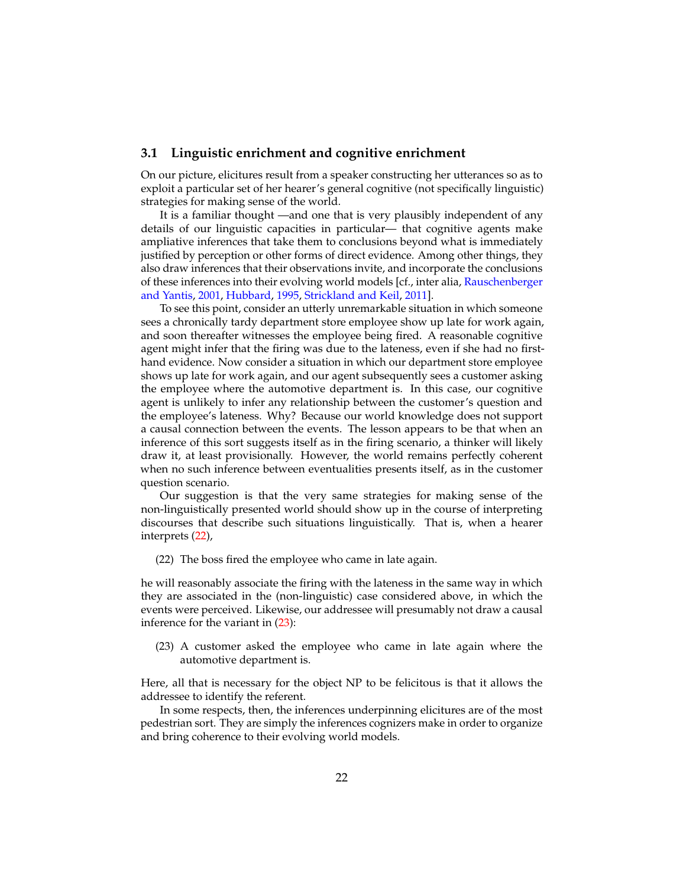#### <span id="page-21-0"></span>**3.1 Linguistic enrichment and cognitive enrichment**

On our picture, elicitures result from a speaker constructing her utterances so as to exploit a particular set of her hearer's general cognitive (not specifically linguistic) strategies for making sense of the world.

It is a familiar thought —and one that is very plausibly independent of any details of our linguistic capacities in particular— that cognitive agents make ampliative inferences that take them to conclusions beyond what is immediately justified by perception or other forms of direct evidence. Among other things, they also draw inferences that their observations invite, and incorporate the conclusions of these inferences into their evolving world models [cf., inter alia, [Rauschenberger](#page-34-13) [and Yantis,](#page-34-13) [2001,](#page-34-13) [Hubbard,](#page-33-9) [1995,](#page-33-9) [Strickland and Keil,](#page-35-5) [2011\]](#page-35-5).

To see this point, consider an utterly unremarkable situation in which someone sees a chronically tardy department store employee show up late for work again, and soon thereafter witnesses the employee being fired. A reasonable cognitive agent might infer that the firing was due to the lateness, even if she had no firsthand evidence. Now consider a situation in which our department store employee shows up late for work again, and our agent subsequently sees a customer asking the employee where the automotive department is. In this case, our cognitive agent is unlikely to infer any relationship between the customer's question and the employee's lateness. Why? Because our world knowledge does not support a causal connection between the events. The lesson appears to be that when an inference of this sort suggests itself as in the firing scenario, a thinker will likely draw it, at least provisionally. However, the world remains perfectly coherent when no such inference between eventualities presents itself, as in the customer question scenario.

Our suggestion is that the very same strategies for making sense of the non-linguistically presented world should show up in the course of interpreting discourses that describe such situations linguistically. That is, when a hearer interprets [\(22\)](#page-21-1),

<span id="page-21-1"></span>(22) The boss fired the employee who came in late again.

he will reasonably associate the firing with the lateness in the same way in which they are associated in the (non-linguistic) case considered above, in which the events were perceived. Likewise, our addressee will presumably not draw a causal inference for the variant in [\(23\)](#page-21-2):

<span id="page-21-2"></span>(23) A customer asked the employee who came in late again where the automotive department is.

Here, all that is necessary for the object NP to be felicitous is that it allows the addressee to identify the referent.

In some respects, then, the inferences underpinning elicitures are of the most pedestrian sort. They are simply the inferences cognizers make in order to organize and bring coherence to their evolving world models.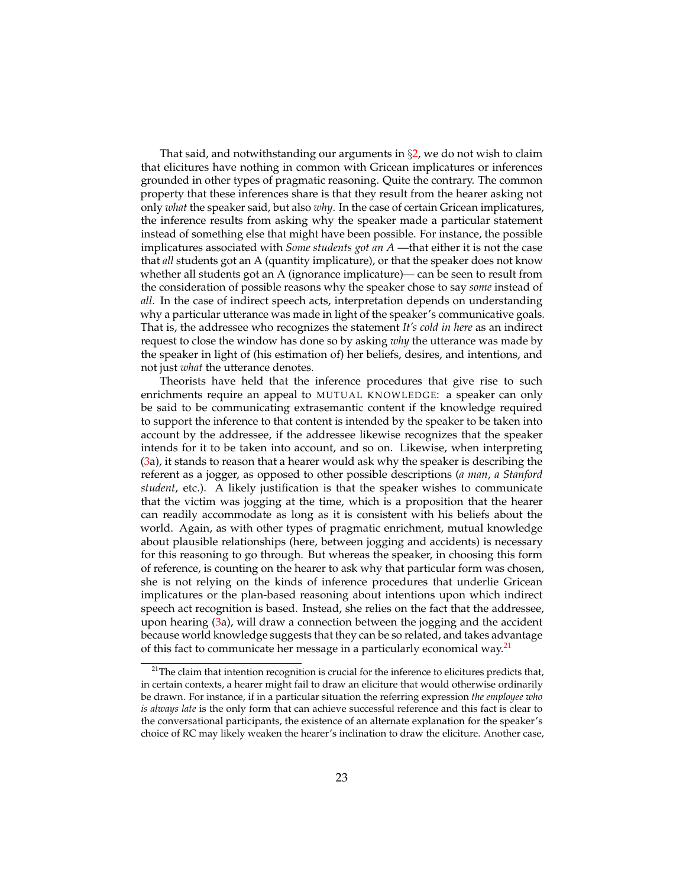That said, and notwithstanding our arguments in  $\S2$ , we do not wish to claim that elicitures have nothing in common with Gricean implicatures or inferences grounded in other types of pragmatic reasoning. Quite the contrary. The common property that these inferences share is that they result from the hearer asking not only *what* the speaker said, but also *why*. In the case of certain Gricean implicatures, the inference results from asking why the speaker made a particular statement instead of something else that might have been possible. For instance, the possible implicatures associated with *Some students got an A* —that either it is not the case that *all* students got an A (quantity implicature), or that the speaker does not know whether all students got an A (ignorance implicature)— can be seen to result from the consideration of possible reasons why the speaker chose to say *some* instead of *all*. In the case of indirect speech acts, interpretation depends on understanding why a particular utterance was made in light of the speaker's communicative goals. That is, the addressee who recognizes the statement *It's cold in here* as an indirect request to close the window has done so by asking *why* the utterance was made by the speaker in light of (his estimation of) her beliefs, desires, and intentions, and not just *what* the utterance denotes.

Theorists have held that the inference procedures that give rise to such enrichments require an appeal to MUTUAL KNOWLEDGE: a speaker can only be said to be communicating extrasemantic content if the knowledge required to support the inference to that content is intended by the speaker to be taken into account by the addressee, if the addressee likewise recognizes that the speaker intends for it to be taken into account, and so on. Likewise, when interpreting [\(3a](#page-3-0)), it stands to reason that a hearer would ask why the speaker is describing the referent as a jogger, as opposed to other possible descriptions (*a man*, *a Stanford student*, etc.). A likely justification is that the speaker wishes to communicate that the victim was jogging at the time, which is a proposition that the hearer can readily accommodate as long as it is consistent with his beliefs about the world. Again, as with other types of pragmatic enrichment, mutual knowledge about plausible relationships (here, between jogging and accidents) is necessary for this reasoning to go through. But whereas the speaker, in choosing this form of reference, is counting on the hearer to ask why that particular form was chosen, she is not relying on the kinds of inference procedures that underlie Gricean implicatures or the plan-based reasoning about intentions upon which indirect speech act recognition is based. Instead, she relies on the fact that the addressee, upon hearing [\(3a](#page-3-0)), will draw a connection between the jogging and the accident because world knowledge suggests that they can be so related, and takes advantage of this fact to communicate her message in a particularly economical way.<sup>[21](#page-22-0)</sup>

<span id="page-22-0"></span> $21$ <sup>21</sup>The claim that intention recognition is crucial for the inference to elicitures predicts that, in certain contexts, a hearer might fail to draw an eliciture that would otherwise ordinarily be drawn. For instance, if in a particular situation the referring expression *the employee who is always late* is the only form that can achieve successful reference and this fact is clear to the conversational participants, the existence of an alternate explanation for the speaker's choice of RC may likely weaken the hearer's inclination to draw the eliciture. Another case,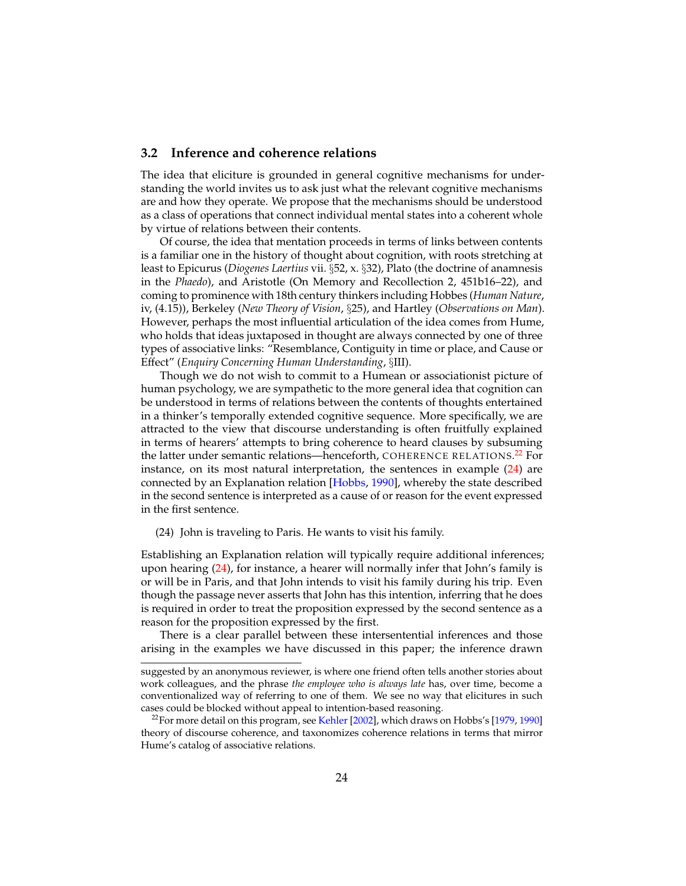### <span id="page-23-0"></span>**3.2 Inference and coherence relations**

The idea that eliciture is grounded in general cognitive mechanisms for understanding the world invites us to ask just what the relevant cognitive mechanisms are and how they operate. We propose that the mechanisms should be understood as a class of operations that connect individual mental states into a coherent whole by virtue of relations between their contents.

Of course, the idea that mentation proceeds in terms of links between contents is a familiar one in the history of thought about cognition, with roots stretching at least to Epicurus (*Diogenes Laertius* vii. §52, x. §32), Plato (the doctrine of anamnesis in the *Phaedo*), and Aristotle (On Memory and Recollection 2, 451b16–22), and coming to prominence with 18th century thinkers including Hobbes (*Human Nature*, iv, (4.15)), Berkeley (*New Theory of Vision*, §25), and Hartley (*Observations on Man*). However, perhaps the most influential articulation of the idea comes from Hume, who holds that ideas juxtaposed in thought are always connected by one of three types of associative links: "Resemblance, Contiguity in time or place, and Cause or Effect" (*Enquiry Concerning Human Understanding*, §III).

Though we do not wish to commit to a Humean or associationist picture of human psychology, we are sympathetic to the more general idea that cognition can be understood in terms of relations between the contents of thoughts entertained in a thinker's temporally extended cognitive sequence. More specifically, we are attracted to the view that discourse understanding is often fruitfully explained in terms of hearers' attempts to bring coherence to heard clauses by subsuming the latter under semantic relations—henceforth, <code>COHERENCE RELATIONS.<sup>[22](#page-23-1)</sup> For</code> instance, on its most natural interpretation, the sentences in example [\(24\)](#page-23-2) are connected by an Explanation relation [\[Hobbs,](#page-33-3) [1990\]](#page-33-3), whereby the state described in the second sentence is interpreted as a cause of or reason for the event expressed in the first sentence.

<span id="page-23-2"></span>(24) John is traveling to Paris. He wants to visit his family.

Establishing an Explanation relation will typically require additional inferences; upon hearing  $(24)$ , for instance, a hearer will normally infer that John's family is or will be in Paris, and that John intends to visit his family during his trip. Even though the passage never asserts that John has this intention, inferring that he does is required in order to treat the proposition expressed by the second sentence as a reason for the proposition expressed by the first.

There is a clear parallel between these intersentential inferences and those arising in the examples we have discussed in this paper; the inference drawn

suggested by an anonymous reviewer, is where one friend often tells another stories about work colleagues, and the phrase *the employee who is always late* has, over time, become a conventionalized way of referring to one of them. We see no way that elicitures in such cases could be blocked without appeal to intention-based reasoning.

<span id="page-23-1"></span> $22$ For more detail on this program, see [Kehler](#page-33-10) [\[2002\]](#page-33-10), which draws on Hobbs's [\[1979,](#page-33-11) [1990\]](#page-33-3) theory of discourse coherence, and taxonomizes coherence relations in terms that mirror Hume's catalog of associative relations.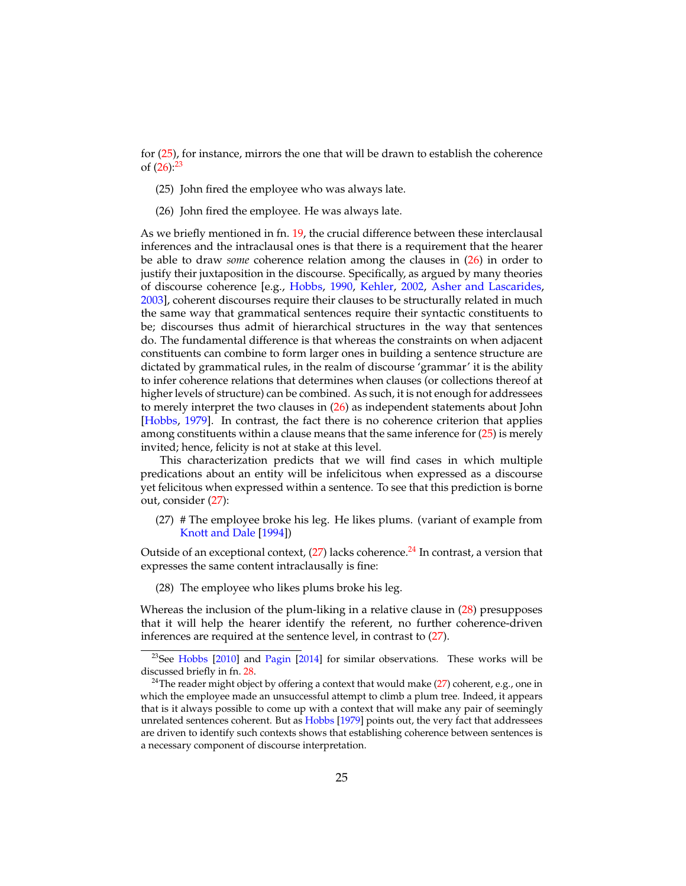for [\(25\)](#page-24-2), for instance, mirrors the one that will be drawn to establish the coherence of  $(26):^{23}$  $(26):^{23}$  $(26):^{23}$  $(26):^{23}$ 

- <span id="page-24-2"></span>(25) John fired the employee who was always late.
- <span id="page-24-3"></span>(26) John fired the employee. He was always late.

As we briefly mentioned in fn. [19,](#page-18-0) the crucial difference between these interclausal inferences and the intraclausal ones is that there is a requirement that the hearer be able to draw *some* coherence relation among the clauses in [\(26\)](#page-24-3) in order to justify their juxtaposition in the discourse. Specifically, as argued by many theories of discourse coherence [e.g., [Hobbs,](#page-33-3) [1990,](#page-33-3) [Kehler,](#page-33-10) [2002,](#page-33-10) [Asher and Lascarides,](#page-32-9) [2003\]](#page-32-9), coherent discourses require their clauses to be structurally related in much the same way that grammatical sentences require their syntactic constituents to be; discourses thus admit of hierarchical structures in the way that sentences do. The fundamental difference is that whereas the constraints on when adjacent constituents can combine to form larger ones in building a sentence structure are dictated by grammatical rules, in the realm of discourse 'grammar' it is the ability to infer coherence relations that determines when clauses (or collections thereof at higher levels of structure) can be combined. As such, it is not enough for addressees to merely interpret the two clauses in [\(26\)](#page-24-3) as independent statements about John [\[Hobbs,](#page-33-11) [1979\]](#page-33-11). In contrast, the fact there is no coherence criterion that applies among constituents within a clause means that the same inference for [\(25\)](#page-24-2) is merely invited; hence, felicity is not at stake at this level.

This characterization predicts that we will find cases in which multiple predications about an entity will be infelicitous when expressed as a discourse yet felicitous when expressed within a sentence. To see that this prediction is borne out, consider [\(27\)](#page-24-0):

<span id="page-24-0"></span>(27) # The employee broke his leg. He likes plums. (variant of example from [Knott and Dale](#page-34-14) [\[1994\]](#page-34-14))

Outside of an exceptional context,  $(27)$  lacks coherence.<sup>[24](#page-24-5)</sup> In contrast, a version that expresses the same content intraclausally is fine:

<span id="page-24-1"></span>(28) The employee who likes plums broke his leg.

Whereas the inclusion of the plum-liking in a relative clause in [\(28\)](#page-24-1) presupposes that it will help the hearer identify the referent, no further coherence-driven inferences are required at the sentence level, in contrast to [\(27\)](#page-24-0).

<span id="page-24-4"></span> $23$ See [Hobbs](#page-33-12) [\[2010\]](#page-33-12) and [Pagin](#page-34-15) [\[2014\]](#page-34-15) for similar observations. These works will be discussed briefly in fn. [28.](#page-30-0)

<span id="page-24-5"></span><sup>&</sup>lt;sup>24</sup>The reader might object by offering a context that would make [\(27\)](#page-24-0) coherent, e.g., one in which the employee made an unsuccessful attempt to climb a plum tree. Indeed, it appears that is it always possible to come up with a context that will make any pair of seemingly unrelated sentences coherent. But as [Hobbs](#page-33-11) [\[1979\]](#page-33-11) points out, the very fact that addressees are driven to identify such contexts shows that establishing coherence between sentences is a necessary component of discourse interpretation.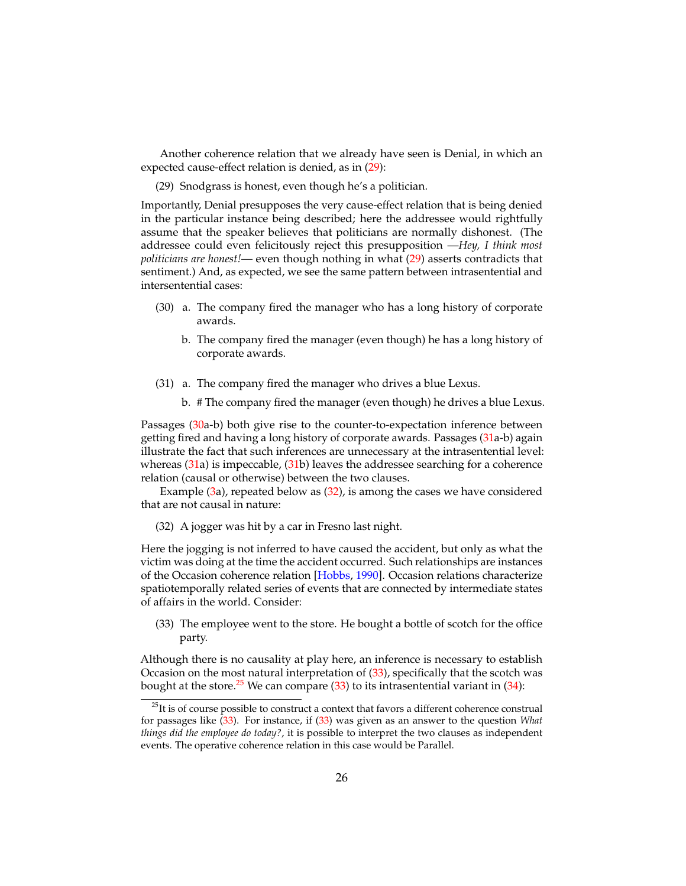Another coherence relation that we already have seen is Denial, in which an expected cause-effect relation is denied, as in [\(29\)](#page-25-0):

<span id="page-25-0"></span>(29) Snodgrass is honest, even though he's a politician.

Importantly, Denial presupposes the very cause-effect relation that is being denied in the particular instance being described; here the addressee would rightfully assume that the speaker believes that politicians are normally dishonest. (The addressee could even felicitously reject this presupposition —*Hey, I think most politicians are honest!*— even though nothing in what [\(29\)](#page-25-0) asserts contradicts that sentiment.) And, as expected, we see the same pattern between intrasentential and intersentential cases:

- <span id="page-25-1"></span>(30) a. The company fired the manager who has a long history of corporate awards.
	- b. The company fired the manager (even though) he has a long history of corporate awards.
- <span id="page-25-2"></span>(31) a. The company fired the manager who drives a blue Lexus.
	- b. # The company fired the manager (even though) he drives a blue Lexus.

Passages [\(30a](#page-25-1)-b) both give rise to the counter-to-expectation inference between getting fired and having a long history of corporate awards. Passages [\(31a](#page-25-2)-b) again illustrate the fact that such inferences are unnecessary at the intrasentential level: whereas [\(31a](#page-25-2)) is impeccable, [\(31b](#page-25-2)) leaves the addressee searching for a coherence relation (causal or otherwise) between the two clauses.

Example  $(3a)$  $(3a)$ , repeated below as  $(32)$ , is among the cases we have considered that are not causal in nature:

<span id="page-25-3"></span>(32) A jogger was hit by a car in Fresno last night.

Here the jogging is not inferred to have caused the accident, but only as what the victim was doing at the time the accident occurred. Such relationships are instances of the Occasion coherence relation [\[Hobbs,](#page-33-3) [1990\]](#page-33-3). Occasion relations characterize spatiotemporally related series of events that are connected by intermediate states of affairs in the world. Consider:

<span id="page-25-4"></span>(33) The employee went to the store. He bought a bottle of scotch for the office party.

Although there is no causality at play here, an inference is necessary to establish Occasion on the most natural interpretation of [\(33\)](#page-25-4), specifically that the scotch was bought at the store.<sup>[25](#page-25-5)</sup> We can compare  $(33)$  to its intrasentential variant in  $(34)$ :

<span id="page-25-6"></span><span id="page-25-5"></span> $25$ It is of course possible to construct a context that favors a different coherence construal for passages like [\(33\)](#page-25-4). For instance, if [\(33\)](#page-25-4) was given as an answer to the question *What things did the employee do today?*, it is possible to interpret the two clauses as independent events. The operative coherence relation in this case would be Parallel.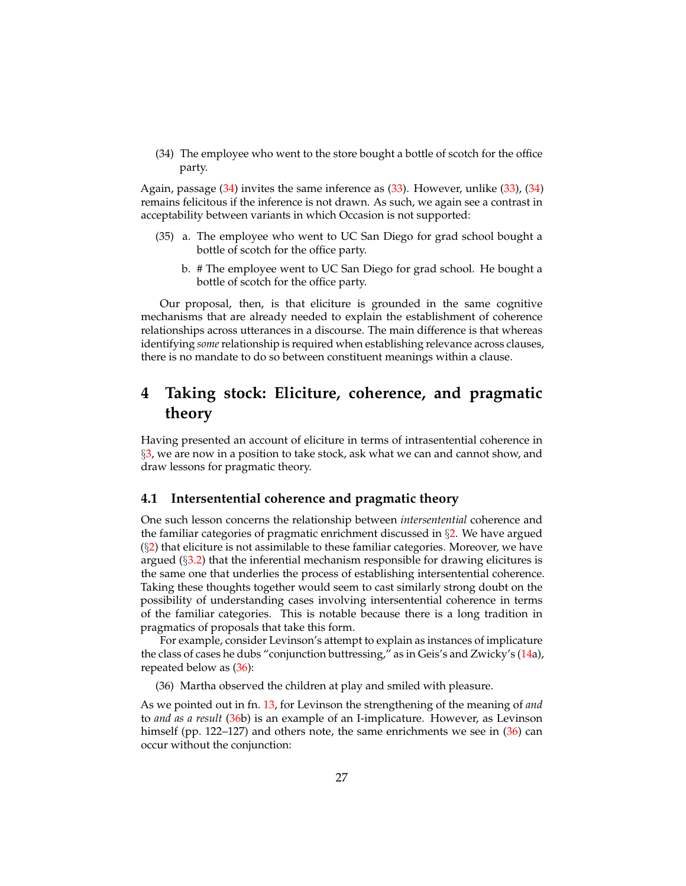(34) The employee who went to the store bought a bottle of scotch for the office party.

Again, passage [\(34\)](#page-25-6) invites the same inference as [\(33\)](#page-25-4). However, unlike [\(33\)](#page-25-4), [\(34\)](#page-25-6) remains felicitous if the inference is not drawn. As such, we again see a contrast in acceptability between variants in which Occasion is not supported:

- (35) a. The employee who went to UC San Diego for grad school bought a bottle of scotch for the office party.
	- b. # The employee went to UC San Diego for grad school. He bought a bottle of scotch for the office party.

Our proposal, then, is that eliciture is grounded in the same cognitive mechanisms that are already needed to explain the establishment of coherence relationships across utterances in a discourse. The main difference is that whereas identifying *some*relationship is required when establishing relevance across clauses, there is no mandate to do so between constituent meanings within a clause.

# <span id="page-26-0"></span>**4 Taking stock: Eliciture, coherence, and pragmatic theory**

Having presented an account of eliciture in terms of intrasentential coherence in §[3,](#page-20-0) we are now in a position to take stock, ask what we can and cannot show, and draw lessons for pragmatic theory.

### **4.1 Intersentential coherence and pragmatic theory**

One such lesson concerns the relationship between *intersentential* coherence and the familiar categories of pragmatic enrichment discussed in  $\S$ [2.](#page-4-1) We have argued  $(\S_2)$  $(\S_2)$  that eliciture is not assimilable to these familiar categories. Moreover, we have argued  $(\S$ [3.2\)](#page-23-0) that the inferential mechanism responsible for drawing elicitures is the same one that underlies the process of establishing intersentential coherence. Taking these thoughts together would seem to cast similarly strong doubt on the possibility of understanding cases involving intersentential coherence in terms of the familiar categories. This is notable because there is a long tradition in pragmatics of proposals that take this form.

For example, consider Levinson's attempt to explain as instances of implicature the class of cases he dubs "conjunction buttressing," as in Geis's and Zwicky's [\(14a](#page-12-2)), repeated below as [\(36\)](#page-26-1):

<span id="page-26-1"></span>(36) Martha observed the children at play and smiled with pleasure.

As we pointed out in fn. [13,](#page-13-1) for Levinson the strengthening of the meaning of *and* to *and as a result* [\(36b](#page-26-1)) is an example of an I-implicature. However, as Levinson himself (pp. 122–127) and others note, the same enrichments we see in [\(36\)](#page-26-1) can occur without the conjunction: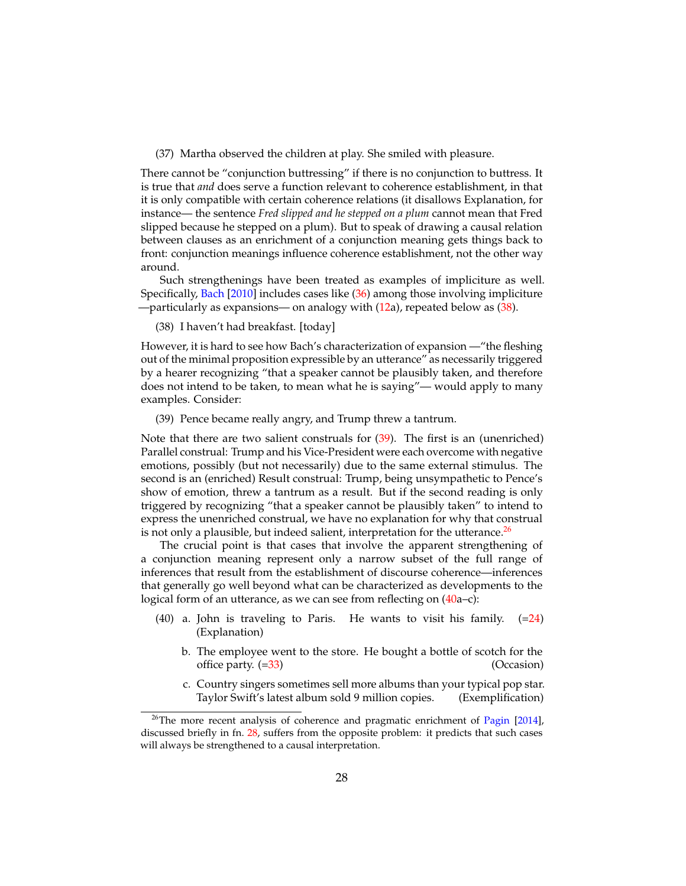(37) Martha observed the children at play. She smiled with pleasure.

There cannot be "conjunction buttressing" if there is no conjunction to buttress. It is true that *and* does serve a function relevant to coherence establishment, in that it is only compatible with certain coherence relations (it disallows Explanation, for instance— the sentence *Fred slipped and he stepped on a plum* cannot mean that Fred slipped because he stepped on a plum). But to speak of drawing a causal relation between clauses as an enrichment of a conjunction meaning gets things back to front: conjunction meanings influence coherence establishment, not the other way around.

Such strengthenings have been treated as examples of impliciture as well. Specifically, [Bach](#page-32-2) [\[2010\]](#page-32-2) includes cases like [\(36\)](#page-26-1) among those involving impliciture —particularly as expansions— on analogy with  $(12a)$  $(12a)$ , repeated below as  $(38)$ .

<span id="page-27-0"></span>(38) I haven't had breakfast. [today]

However, it is hard to see how Bach's characterization of expansion —"the fleshing out of the minimal proposition expressible by an utterance" as necessarily triggered by a hearer recognizing "that a speaker cannot be plausibly taken, and therefore does not intend to be taken, to mean what he is saying"— would apply to many examples. Consider:

<span id="page-27-1"></span>(39) Pence became really angry, and Trump threw a tantrum.

Note that there are two salient construals for [\(39\)](#page-27-1). The first is an (unenriched) Parallel construal: Trump and his Vice-President were each overcome with negative emotions, possibly (but not necessarily) due to the same external stimulus. The second is an (enriched) Result construal: Trump, being unsympathetic to Pence's show of emotion, threw a tantrum as a result. But if the second reading is only triggered by recognizing "that a speaker cannot be plausibly taken" to intend to express the unenriched construal, we have no explanation for why that construal is not only a plausible, but indeed salient, interpretation for the utterance. $26$ 

The crucial point is that cases that involve the apparent strengthening of a conjunction meaning represent only a narrow subset of the full range of inferences that result from the establishment of discourse coherence—inferences that generally go well beyond what can be characterized as developments to the logical form of an utterance, as we can see from reflecting on [\(40a](#page-27-3)–c):

- <span id="page-27-3"></span>(40) a. John is traveling to Paris. He wants to visit his family.  $(=24)$  $(=24)$ (Explanation)
	- b. The employee went to the store. He bought a bottle of scotch for the office party. ([=33\)](#page-25-4) (Occasion)
	- c. Country singers sometimes sell more albums than your typical pop star. Taylor Swift's latest album sold 9 million copies. (Exemplification)

<span id="page-27-2"></span> $26$ The more recent analysis of coherence and pragmatic enrichment of [Pagin](#page-34-15) [\[2014\]](#page-34-15), discussed briefly in fn. [28,](#page-30-0) suffers from the opposite problem: it predicts that such cases will always be strengthened to a causal interpretation.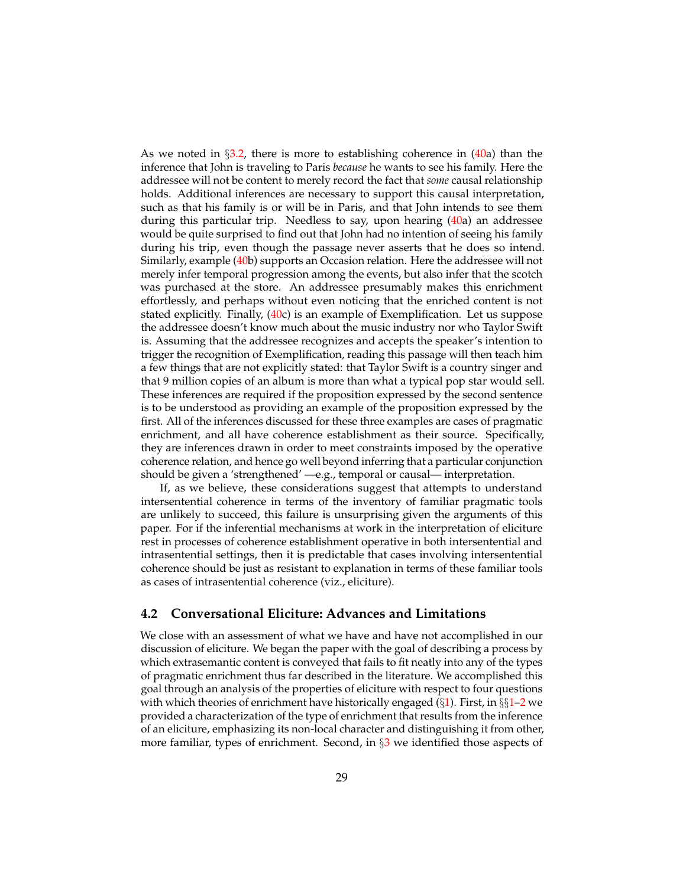As we noted in  $\S 3.2$ , there is more to establishing coherence in [\(40a](#page-27-3)) than the inference that John is traveling to Paris *because* he wants to see his family. Here the addressee will not be content to merely record the fact that *some* causal relationship holds. Additional inferences are necessary to support this causal interpretation, such as that his family is or will be in Paris, and that John intends to see them during this particular trip. Needless to say, upon hearing [\(40a](#page-27-3)) an addressee would be quite surprised to find out that John had no intention of seeing his family during his trip, even though the passage never asserts that he does so intend. Similarly, example [\(40b](#page-27-3)) supports an Occasion relation. Here the addressee will not merely infer temporal progression among the events, but also infer that the scotch was purchased at the store. An addressee presumably makes this enrichment effortlessly, and perhaps without even noticing that the enriched content is not stated explicitly. Finally, [\(40c](#page-27-3)) is an example of Exemplification. Let us suppose the addressee doesn't know much about the music industry nor who Taylor Swift is. Assuming that the addressee recognizes and accepts the speaker's intention to trigger the recognition of Exemplification, reading this passage will then teach him a few things that are not explicitly stated: that Taylor Swift is a country singer and that 9 million copies of an album is more than what a typical pop star would sell. These inferences are required if the proposition expressed by the second sentence is to be understood as providing an example of the proposition expressed by the first. All of the inferences discussed for these three examples are cases of pragmatic enrichment, and all have coherence establishment as their source. Specifically, they are inferences drawn in order to meet constraints imposed by the operative coherence relation, and hence go well beyond inferring that a particular conjunction should be given a 'strengthened' —e.g., temporal or causal— interpretation.

If, as we believe, these considerations suggest that attempts to understand intersentential coherence in terms of the inventory of familiar pragmatic tools are unlikely to succeed, this failure is unsurprising given the arguments of this paper. For if the inferential mechanisms at work in the interpretation of eliciture rest in processes of coherence establishment operative in both intersentential and intrasentential settings, then it is predictable that cases involving intersentential coherence should be just as resistant to explanation in terms of these familiar tools as cases of intrasentential coherence (viz., eliciture).

#### **4.2 Conversational Eliciture: Advances and Limitations**

We close with an assessment of what we have and have not accomplished in our discussion of eliciture. We began the paper with the goal of describing a process by which extrasemantic content is conveyed that fails to fit neatly into any of the types of pragmatic enrichment thus far described in the literature. We accomplished this goal through an analysis of the properties of eliciture with respect to four questions with which theories of enrichment have historically engaged  $(\S1)$  $(\S1)$ . First, in  $\S\S1-2$  $\S\S1-2$  $\S\S1-2$  we provided a characterization of the type of enrichment that results from the inference of an eliciture, emphasizing its non-local character and distinguishing it from other, more familiar, types of enrichment. Second, in §[3](#page-20-0) we identified those aspects of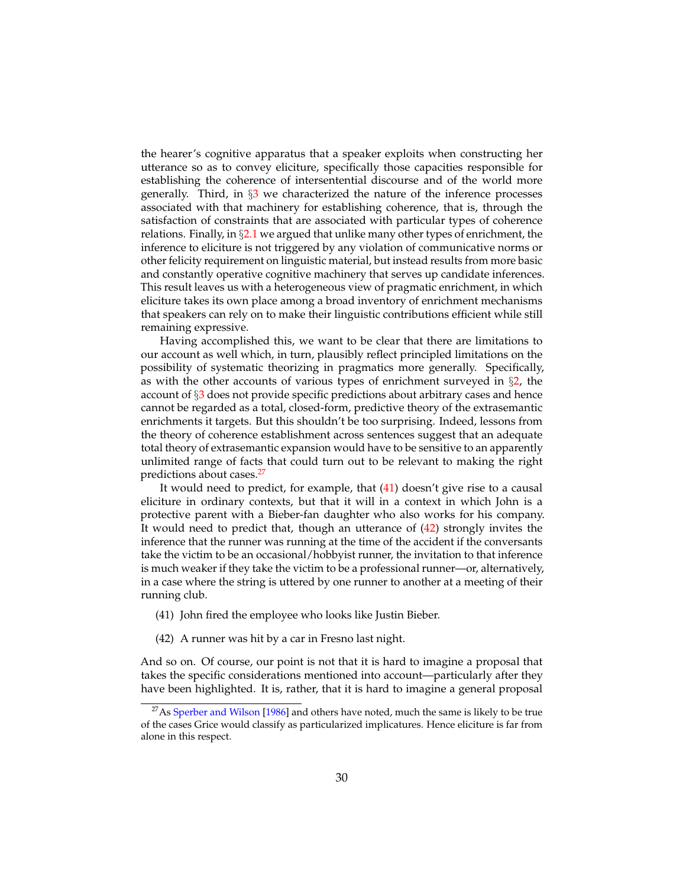the hearer's cognitive apparatus that a speaker exploits when constructing her utterance so as to convey eliciture, specifically those capacities responsible for establishing the coherence of intersentential discourse and of the world more generally. Third, in  $\S$  we characterized the nature of the inference processes associated with that machinery for establishing coherence, that is, through the satisfaction of constraints that are associated with particular types of coherence relations. Finally, in  $\S2.1$  $\S2.1$  we argued that unlike many other types of enrichment, the inference to eliciture is not triggered by any violation of communicative norms or other felicity requirement on linguistic material, but instead results from more basic and constantly operative cognitive machinery that serves up candidate inferences. This result leaves us with a heterogeneous view of pragmatic enrichment, in which eliciture takes its own place among a broad inventory of enrichment mechanisms that speakers can rely on to make their linguistic contributions efficient while still remaining expressive.

Having accomplished this, we want to be clear that there are limitations to our account as well which, in turn, plausibly reflect principled limitations on the possibility of systematic theorizing in pragmatics more generally. Specifically, as with the other accounts of various types of enrichment surveyed in  $\S$ [2,](#page-4-1) the account of §[3](#page-20-0) does not provide specific predictions about arbitrary cases and hence cannot be regarded as a total, closed-form, predictive theory of the extrasemantic enrichments it targets. But this shouldn't be too surprising. Indeed, lessons from the theory of coherence establishment across sentences suggest that an adequate total theory of extrasemantic expansion would have to be sensitive to an apparently unlimited range of facts that could turn out to be relevant to making the right predictions about cases.[27](#page-29-0)

It would need to predict, for example, that  $(41)$  doesn't give rise to a causal eliciture in ordinary contexts, but that it will in a context in which John is a protective parent with a Bieber-fan daughter who also works for his company. It would need to predict that, though an utterance of [\(42\)](#page-29-2) strongly invites the inference that the runner was running at the time of the accident if the conversants take the victim to be an occasional/hobbyist runner, the invitation to that inference is much weaker if they take the victim to be a professional runner—or, alternatively, in a case where the string is uttered by one runner to another at a meeting of their running club.

- <span id="page-29-1"></span>(41) John fired the employee who looks like Justin Bieber.
- <span id="page-29-2"></span>(42) A runner was hit by a car in Fresno last night.

And so on. Of course, our point is not that it is hard to imagine a proposal that takes the specific considerations mentioned into account—particularly after they have been highlighted. It is, rather, that it is hard to imagine a general proposal

<span id="page-29-0"></span><sup>&</sup>lt;sup>27</sup>As [Sperber and Wilson](#page-34-9) [\[1986\]](#page-34-9) and others have noted, much the same is likely to be true of the cases Grice would classify as particularized implicatures. Hence eliciture is far from alone in this respect.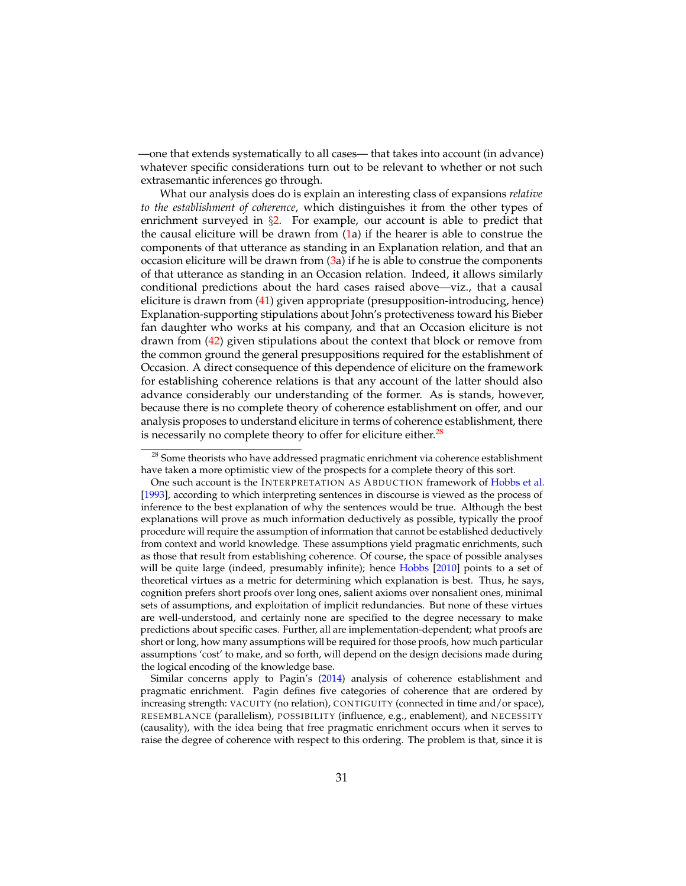—one that extends systematically to all cases— that takes into account (in advance) whatever specific considerations turn out to be relevant to whether or not such extrasemantic inferences go through.

What our analysis does do is explain an interesting class of expansions *relative to the establishment of coherence*, which distinguishes it from the other types of enrichment surveyed in  $\S2$ . For example, our account is able to predict that the causal eliciture will be drawn from  $(1a)$  $(1a)$  if the hearer is able to construe the components of that utterance as standing in an Explanation relation, and that an occasion eliciture will be drawn from  $(3a)$  $(3a)$  if he is able to construe the components of that utterance as standing in an Occasion relation. Indeed, it allows similarly conditional predictions about the hard cases raised above—viz., that a causal eliciture is drawn from [\(41\)](#page-29-1) given appropriate (presupposition-introducing, hence) Explanation-supporting stipulations about John's protectiveness toward his Bieber fan daughter who works at his company, and that an Occasion eliciture is not drawn from [\(42\)](#page-29-2) given stipulations about the context that block or remove from the common ground the general presuppositions required for the establishment of Occasion. A direct consequence of this dependence of eliciture on the framework for establishing coherence relations is that any account of the latter should also advance considerably our understanding of the former. As is stands, however, because there is no complete theory of coherence establishment on offer, and our analysis proposes to understand eliciture in terms of coherence establishment, there is necessarily no complete theory to offer for eliciture either. $^{28}$  $^{28}$  $^{28}$ 

<span id="page-30-0"></span><sup>&</sup>lt;sup>28</sup> Some theorists who have addressed pragmatic enrichment via coherence establishment have taken a more optimistic view of the prospects for a complete theory of this sort.

One such account is the INTERPRETATION AS ABDUCTION framework of [Hobbs et al.](#page-33-13) [\[1993\]](#page-33-13), according to which interpreting sentences in discourse is viewed as the process of inference to the best explanation of why the sentences would be true. Although the best explanations will prove as much information deductively as possible, typically the proof procedure will require the assumption of information that cannot be established deductively from context and world knowledge. These assumptions yield pragmatic enrichments, such as those that result from establishing coherence. Of course, the space of possible analyses will be quite large (indeed, presumably infinite); hence [Hobbs](#page-33-12) [\[2010\]](#page-33-12) points to a set of theoretical virtues as a metric for determining which explanation is best. Thus, he says, cognition prefers short proofs over long ones, salient axioms over nonsalient ones, minimal sets of assumptions, and exploitation of implicit redundancies. But none of these virtues are well-understood, and certainly none are specified to the degree necessary to make predictions about specific cases. Further, all are implementation-dependent; what proofs are short or long, how many assumptions will be required for those proofs, how much particular assumptions 'cost' to make, and so forth, will depend on the design decisions made during the logical encoding of the knowledge base.

Similar concerns apply to Pagin's [\(2014\)](#page-34-15) analysis of coherence establishment and pragmatic enrichment. Pagin defines five categories of coherence that are ordered by increasing strength: VACUITY (no relation), CONTIGUITY (connected in time and/or space), RESEMBLANCE (parallelism), POSSIBILITY (influence, e.g., enablement), and NECESSITY (causality), with the idea being that free pragmatic enrichment occurs when it serves to raise the degree of coherence with respect to this ordering. The problem is that, since it is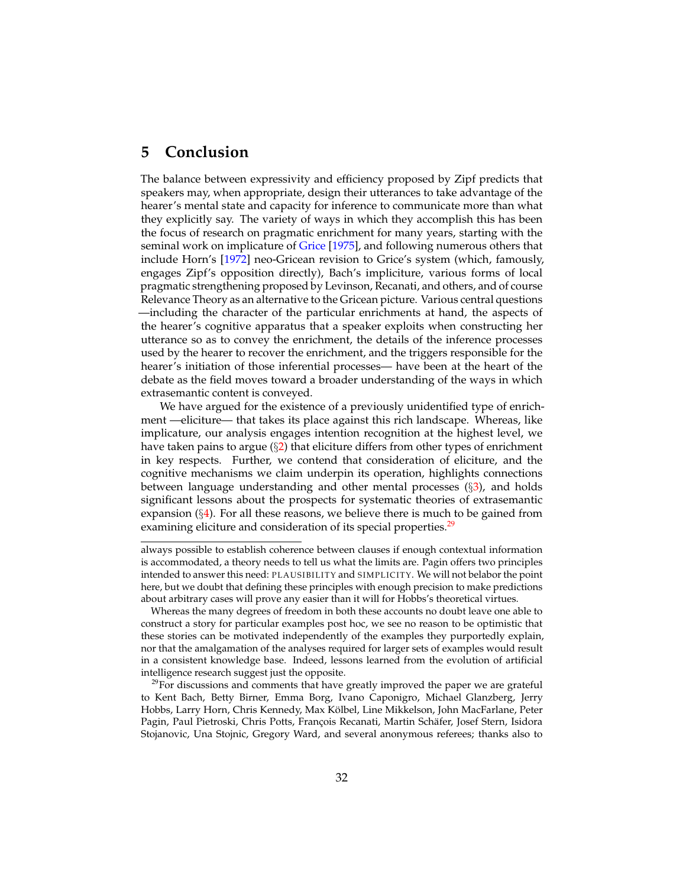## **5 Conclusion**

The balance between expressivity and efficiency proposed by Zipf predicts that speakers may, when appropriate, design their utterances to take advantage of the hearer's mental state and capacity for inference to communicate more than what they explicitly say. The variety of ways in which they accomplish this has been the focus of research on pragmatic enrichment for many years, starting with the seminal work on implicature of [Grice](#page-33-0) [\[1975\]](#page-33-0), and following numerous others that include Horn's [\[1972\]](#page-33-14) neo-Gricean revision to Grice's system (which, famously, engages Zipf's opposition directly), Bach's impliciture, various forms of local pragmatic strengthening proposed by Levinson, Recanati, and others, and of course Relevance Theory as an alternative to the Gricean picture. Various central questions —including the character of the particular enrichments at hand, the aspects of the hearer's cognitive apparatus that a speaker exploits when constructing her utterance so as to convey the enrichment, the details of the inference processes used by the hearer to recover the enrichment, and the triggers responsible for the hearer's initiation of those inferential processes— have been at the heart of the debate as the field moves toward a broader understanding of the ways in which extrasemantic content is conveyed.

We have argued for the existence of a previously unidentified type of enrichment —eliciture— that takes its place against this rich landscape. Whereas, like implicature, our analysis engages intention recognition at the highest level, we have taken pains to argue (§[2\)](#page-4-1) that eliciture differs from other types of enrichment in key respects. Further, we contend that consideration of eliciture, and the cognitive mechanisms we claim underpin its operation, highlights connections between language understanding and other mental processes  $(\S3)$  $(\S3)$ , and holds significant lessons about the prospects for systematic theories of extrasemantic expansion  $(\S_4)$  $(\S_4)$ . For all these reasons, we believe there is much to be gained from examining eliciture and consideration of its special properties.<sup>[29](#page-31-0)</sup>

always possible to establish coherence between clauses if enough contextual information is accommodated, a theory needs to tell us what the limits are. Pagin offers two principles intended to answer this need: PLAUSIBILITY and SIMPLICITY. We will not belabor the point here, but we doubt that defining these principles with enough precision to make predictions about arbitrary cases will prove any easier than it will for Hobbs's theoretical virtues.

Whereas the many degrees of freedom in both these accounts no doubt leave one able to construct a story for particular examples post hoc, we see no reason to be optimistic that these stories can be motivated independently of the examples they purportedly explain, nor that the amalgamation of the analyses required for larger sets of examples would result in a consistent knowledge base. Indeed, lessons learned from the evolution of artificial intelligence research suggest just the opposite.

<span id="page-31-0"></span> $29$ For discussions and comments that have greatly improved the paper we are grateful to Kent Bach, Betty Birner, Emma Borg, Ivano Caponigro, Michael Glanzberg, Jerry Hobbs, Larry Horn, Chris Kennedy, Max Kolbel, Line Mikkelson, John MacFarlane, Peter ¨ Pagin, Paul Pietroski, Chris Potts, François Recanati, Martin Schäfer, Josef Stern, Isidora Stojanovic, Una Stojnic, Gregory Ward, and several anonymous referees; thanks also to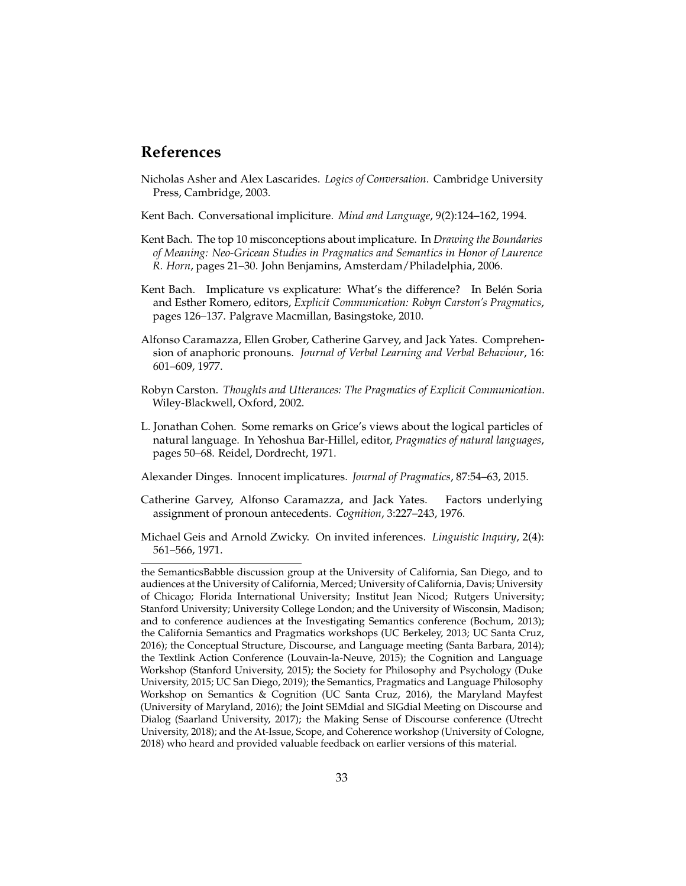### **References**

- <span id="page-32-9"></span>Nicholas Asher and Alex Lascarides. *Logics of Conversation*. Cambridge University Press, Cambridge, 2003.
- <span id="page-32-5"></span>Kent Bach. Conversational impliciture. *Mind and Language*, 9(2):124–162, 1994.
- <span id="page-32-4"></span>Kent Bach. The top 10 misconceptions about implicature. In *Drawing the Boundaries of Meaning: Neo-Gricean Studies in Pragmatics and Semantics in Honor of Laurence R. Horn*, pages 21–30. John Benjamins, Amsterdam/Philadelphia, 2006.
- <span id="page-32-2"></span>Kent Bach. Implicature vs explicature: What's the difference? In Belén Soria and Esther Romero, editors, *Explicit Communication: Robyn Carston's Pragmatics*, pages 126–137. Palgrave Macmillan, Basingstoke, 2010.
- <span id="page-32-1"></span>Alfonso Caramazza, Ellen Grober, Catherine Garvey, and Jack Yates. Comprehension of anaphoric pronouns. *Journal of Verbal Learning and Verbal Behaviour*, 16: 601–609, 1977.
- <span id="page-32-7"></span>Robyn Carston. *Thoughts and Utterances: The Pragmatics of Explicit Communication*. Wiley-Blackwell, Oxford, 2002.
- <span id="page-32-8"></span>L. Jonathan Cohen. Some remarks on Grice's views about the logical particles of natural language. In Yehoshua Bar-Hillel, editor, *Pragmatics of natural languages*, pages 50–68. Reidel, Dordrecht, 1971.
- <span id="page-32-3"></span>Alexander Dinges. Innocent implicatures. *Journal of Pragmatics*, 87:54–63, 2015.
- <span id="page-32-0"></span>Catherine Garvey, Alfonso Caramazza, and Jack Yates. Factors underlying assignment of pronoun antecedents. *Cognition*, 3:227–243, 1976.
- <span id="page-32-6"></span>Michael Geis and Arnold Zwicky. On invited inferences. *Linguistic Inquiry*, 2(4): 561–566, 1971.

the SemanticsBabble discussion group at the University of California, San Diego, and to audiences at the University of California, Merced; University of California, Davis; University of Chicago; Florida International University; Institut Jean Nicod; Rutgers University; Stanford University; University College London; and the University of Wisconsin, Madison; and to conference audiences at the Investigating Semantics conference (Bochum, 2013); the California Semantics and Pragmatics workshops (UC Berkeley, 2013; UC Santa Cruz, 2016); the Conceptual Structure, Discourse, and Language meeting (Santa Barbara, 2014); the Textlink Action Conference (Louvain-la-Neuve, 2015); the Cognition and Language Workshop (Stanford University, 2015); the Society for Philosophy and Psychology (Duke University, 2015; UC San Diego, 2019); the Semantics, Pragmatics and Language Philosophy Workshop on Semantics & Cognition (UC Santa Cruz, 2016), the Maryland Mayfest (University of Maryland, 2016); the Joint SEMdial and SIGdial Meeting on Discourse and Dialog (Saarland University, 2017); the Making Sense of Discourse conference (Utrecht University, 2018); and the At-Issue, Scope, and Coherence workshop (University of Cologne, 2018) who heard and provided valuable feedback on earlier versions of this material.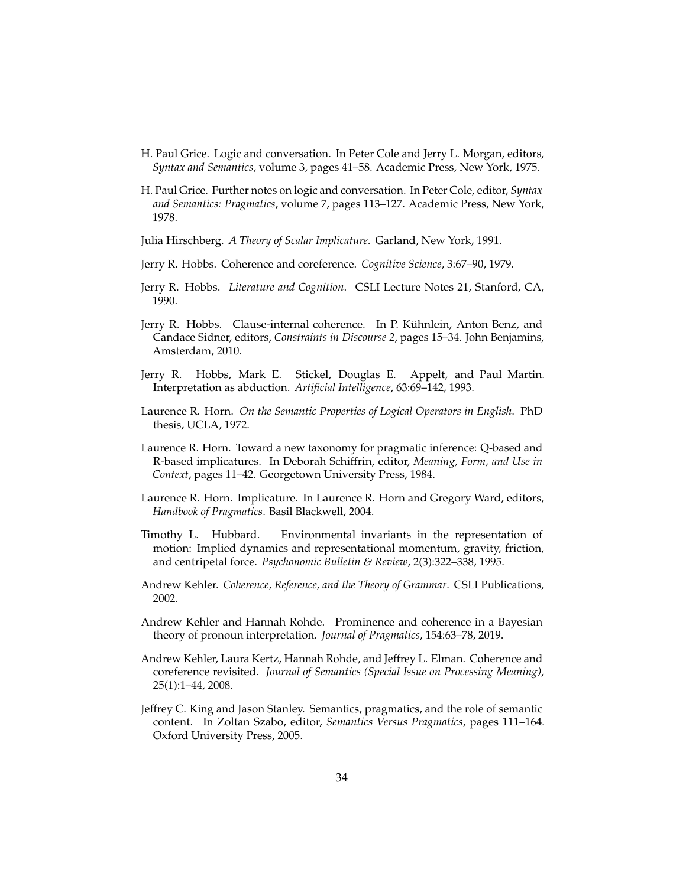- <span id="page-33-0"></span>H. Paul Grice. Logic and conversation. In Peter Cole and Jerry L. Morgan, editors, *Syntax and Semantics*, volume 3, pages 41–58. Academic Press, New York, 1975.
- <span id="page-33-6"></span>H. Paul Grice. Further notes on logic and conversation. In Peter Cole, editor, *Syntax and Semantics: Pragmatics*, volume 7, pages 113–127. Academic Press, New York, 1978.

<span id="page-33-5"></span>Julia Hirschberg. *A Theory of Scalar Implicature*. Garland, New York, 1991.

- <span id="page-33-11"></span>Jerry R. Hobbs. Coherence and coreference. *Cognitive Science*, 3:67–90, 1979.
- <span id="page-33-3"></span>Jerry R. Hobbs. *Literature and Cognition*. CSLI Lecture Notes 21, Stanford, CA, 1990.
- <span id="page-33-12"></span>Jerry R. Hobbs. Clause-internal coherence. In P. Kühnlein, Anton Benz, and Candace Sidner, editors, *Constraints in Discourse 2*, pages 15–34. John Benjamins, Amsterdam, 2010.
- <span id="page-33-13"></span>Jerry R. Hobbs, Mark E. Stickel, Douglas E. Appelt, and Paul Martin. Interpretation as abduction. *Artificial Intelligence*, 63:69–142, 1993.
- <span id="page-33-14"></span>Laurence R. Horn. *On the Semantic Properties of Logical Operators in English*. PhD thesis, UCLA, 1972.
- <span id="page-33-4"></span>Laurence R. Horn. Toward a new taxonomy for pragmatic inference: Q-based and R-based implicatures. In Deborah Schiffrin, editor, *Meaning, Form, and Use in Context*, pages 11–42. Georgetown University Press, 1984.
- <span id="page-33-7"></span>Laurence R. Horn. Implicature. In Laurence R. Horn and Gregory Ward, editors, *Handbook of Pragmatics*. Basil Blackwell, 2004.
- <span id="page-33-9"></span>Timothy L. Hubbard. Environmental invariants in the representation of motion: Implied dynamics and representational momentum, gravity, friction, and centripetal force. *Psychonomic Bulletin & Review*, 2(3):322–338, 1995.
- <span id="page-33-10"></span>Andrew Kehler. *Coherence, Reference, and the Theory of Grammar*. CSLI Publications, 2002.
- <span id="page-33-2"></span>Andrew Kehler and Hannah Rohde. Prominence and coherence in a Bayesian theory of pronoun interpretation. *Journal of Pragmatics*, 154:63–78, 2019.
- <span id="page-33-1"></span>Andrew Kehler, Laura Kertz, Hannah Rohde, and Jeffrey L. Elman. Coherence and coreference revisited. *Journal of Semantics (Special Issue on Processing Meaning)*, 25(1):1–44, 2008.
- <span id="page-33-8"></span>Jeffrey C. King and Jason Stanley. Semantics, pragmatics, and the role of semantic content. In Zoltan Szabo, editor, *Semantics Versus Pragmatics*, pages 111–164. Oxford University Press, 2005.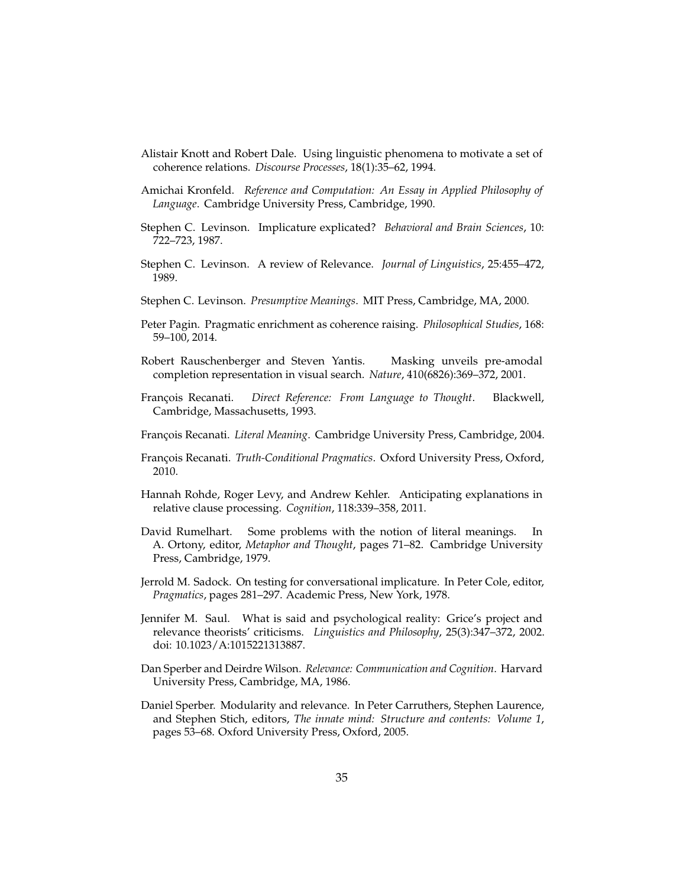- <span id="page-34-14"></span>Alistair Knott and Robert Dale. Using linguistic phenomena to motivate a set of coherence relations. *Discourse Processes*, 18(1):35–62, 1994.
- <span id="page-34-2"></span>Amichai Kronfeld. *Reference and Computation: An Essay in Applied Philosophy of Language*. Cambridge University Press, Cambridge, 1990.
- <span id="page-34-11"></span>Stephen C. Levinson. Implicature explicated? *Behavioral and Brain Sciences*, 10: 722–723, 1987.
- <span id="page-34-12"></span>Stephen C. Levinson. A review of Relevance. *Journal of Linguistics*, 25:455–472, 1989.
- <span id="page-34-3"></span>Stephen C. Levinson. *Presumptive Meanings*. MIT Press, Cambridge, MA, 2000.
- <span id="page-34-15"></span>Peter Pagin. Pragmatic enrichment as coherence raising. *Philosophical Studies*, 168: 59–100, 2014.
- <span id="page-34-13"></span>Robert Rauschenberger and Steven Yantis. Masking unveils pre-amodal completion representation in visual search. *Nature*, 410(6826):369–372, 2001.
- <span id="page-34-5"></span>François Recanati. *Direct Reference: From Language to Thought*. Blackwell, Cambridge, Massachusetts, 1993.
- <span id="page-34-6"></span>Franc¸ois Recanati. *Literal Meaning*. Cambridge University Press, Cambridge, 2004.
- <span id="page-34-7"></span>François Recanati. *Truth-Conditional Pragmatics*. Oxford University Press, Oxford, 2010.
- <span id="page-34-0"></span>Hannah Rohde, Roger Levy, and Andrew Kehler. Anticipating explanations in relative clause processing. *Cognition*, 118:339–358, 2011.
- <span id="page-34-8"></span>David Rumelhart. Some problems with the notion of literal meanings. In A. Ortony, editor, *Metaphor and Thought*, pages 71–82. Cambridge University Press, Cambridge, 1979.
- <span id="page-34-1"></span>Jerrold M. Sadock. On testing for conversational implicature. In Peter Cole, editor, *Pragmatics*, pages 281–297. Academic Press, New York, 1978.
- <span id="page-34-4"></span>Jennifer M. Saul. What is said and psychological reality: Grice's project and relevance theorists' criticisms. *Linguistics and Philosophy*, 25(3):347–372, 2002. doi: 10.1023/A:1015221313887.
- <span id="page-34-9"></span>Dan Sperber and Deirdre Wilson. *Relevance: Communication and Cognition*. Harvard University Press, Cambridge, MA, 1986.
- <span id="page-34-10"></span>Daniel Sperber. Modularity and relevance. In Peter Carruthers, Stephen Laurence, and Stephen Stich, editors, *The innate mind: Structure and contents: Volume 1*, pages 53–68. Oxford University Press, Oxford, 2005.